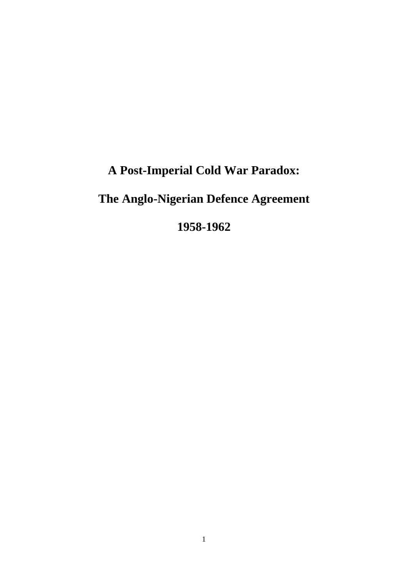# **A Post-Imperial Cold War Paradox:**

# **The Anglo-Nigerian Defence Agreement**

**1958-1962**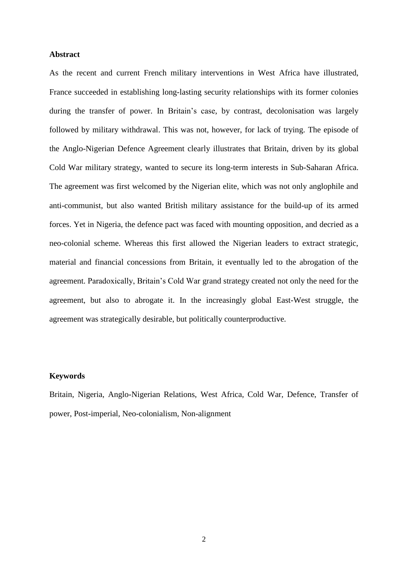## **Abstract**

As the recent and current French military interventions in West Africa have illustrated, France succeeded in establishing long-lasting security relationships with its former colonies during the transfer of power. In Britain's case, by contrast, decolonisation was largely followed by military withdrawal. This was not, however, for lack of trying. The episode of the Anglo-Nigerian Defence Agreement clearly illustrates that Britain, driven by its global Cold War military strategy, wanted to secure its long-term interests in Sub-Saharan Africa. The agreement was first welcomed by the Nigerian elite, which was not only anglophile and anti-communist, but also wanted British military assistance for the build-up of its armed forces. Yet in Nigeria, the defence pact was faced with mounting opposition, and decried as a neo-colonial scheme. Whereas this first allowed the Nigerian leaders to extract strategic, material and financial concessions from Britain, it eventually led to the abrogation of the agreement. Paradoxically, Britain's Cold War grand strategy created not only the need for the agreement, but also to abrogate it. In the increasingly global East-West struggle, the agreement was strategically desirable, but politically counterproductive.

#### **Keywords**

Britain, Nigeria, Anglo-Nigerian Relations, West Africa, Cold War, Defence, Transfer of power, Post-imperial, Neo-colonialism, Non-alignment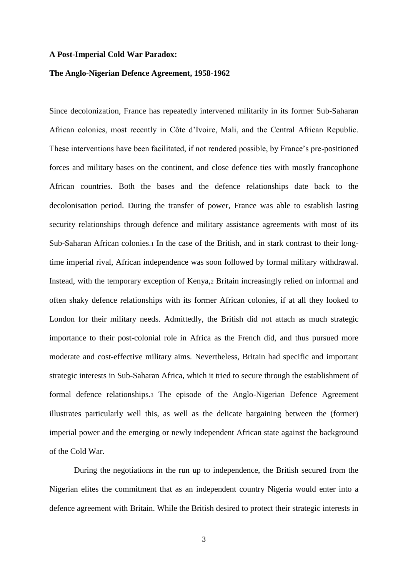#### **A Post-Imperial Cold War Paradox:**

#### **The Anglo-Nigerian Defence Agreement, 1958-1962**

Since decolonization, France has repeatedly intervened militarily in its former Sub-Saharan African colonies, most recently in Côte d'Ivoire, Mali, and the Central African Republic. These interventions have been facilitated, if not rendered possible, by France's pre-positioned forces and military bases on the continent, and close defence ties with mostly francophone African countries. Both the bases and the defence relationships date back to the decolonisation period. During the transfer of power, France was able to establish lasting security relationships through defence and military assistance agreements with most of its Sub-Saharan African colonies.<sup>1</sup> In the case of the British, and in stark contrast to their longtime imperial rival, African independence was soon followed by formal military withdrawal. Instead, with the temporary exception of Kenya,<sup>2</sup> Britain increasingly relied on informal and often shaky defence relationships with its former African colonies, if at all they looked to London for their military needs. Admittedly, the British did not attach as much strategic importance to their post-colonial role in Africa as the French did, and thus pursued more moderate and cost-effective military aims. Nevertheless, Britain had specific and important strategic interests in Sub-Saharan Africa, which it tried to secure through the establishment of formal defence relationships.<sup>3</sup> The episode of the Anglo-Nigerian Defence Agreement illustrates particularly well this, as well as the delicate bargaining between the (former) imperial power and the emerging or newly independent African state against the background of the Cold War.

During the negotiations in the run up to independence, the British secured from the Nigerian elites the commitment that as an independent country Nigeria would enter into a defence agreement with Britain. While the British desired to protect their strategic interests in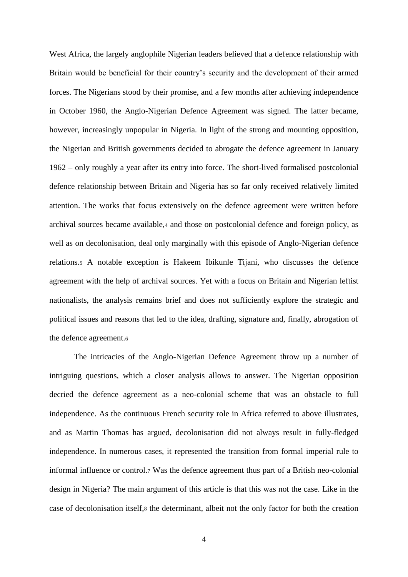West Africa, the largely anglophile Nigerian leaders believed that a defence relationship with Britain would be beneficial for their country's security and the development of their armed forces. The Nigerians stood by their promise, and a few months after achieving independence in October 1960, the Anglo-Nigerian Defence Agreement was signed. The latter became, however, increasingly unpopular in Nigeria. In light of the strong and mounting opposition, the Nigerian and British governments decided to abrogate the defence agreement in January 1962 – only roughly a year after its entry into force. The short-lived formalised postcolonial defence relationship between Britain and Nigeria has so far only received relatively limited attention. The works that focus extensively on the defence agreement were written before archival sources became available,<sup>4</sup> and those on postcolonial defence and foreign policy, as well as on decolonisation, deal only marginally with this episode of Anglo-Nigerian defence relations.<sup>5</sup> A notable exception is Hakeem Ibikunle Tijani, who discusses the defence agreement with the help of archival sources. Yet with a focus on Britain and Nigerian leftist nationalists, the analysis remains brief and does not sufficiently explore the strategic and political issues and reasons that led to the idea, drafting, signature and, finally, abrogation of the defence agreement.<sup>6</sup>

The intricacies of the Anglo-Nigerian Defence Agreement throw up a number of intriguing questions, which a closer analysis allows to answer. The Nigerian opposition decried the defence agreement as a neo-colonial scheme that was an obstacle to full independence. As the continuous French security role in Africa referred to above illustrates, and as Martin Thomas has argued, decolonisation did not always result in fully-fledged independence. In numerous cases, it represented the transition from formal imperial rule to informal influence or control.<sup>7</sup> Was the defence agreement thus part of a British neo-colonial design in Nigeria? The main argument of this article is that this was not the case. Like in the case of decolonisation itself,<sup>8</sup> the determinant, albeit not the only factor for both the creation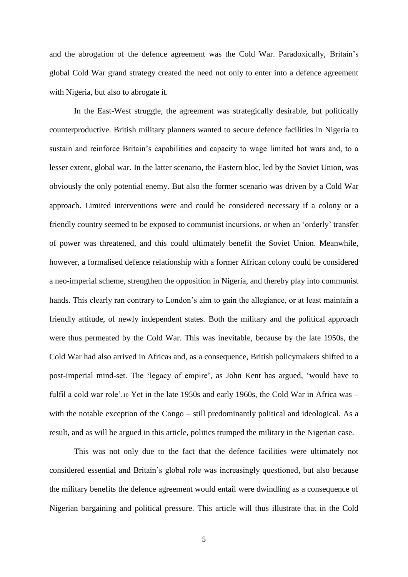and the abrogation of the defence agreement was the Cold War. Paradoxically, Britain's global Cold War grand strategy created the need not only to enter into a defence agreement with Nigeria, but also to abrogate it.

In the East-West struggle, the agreement was strategically desirable, but politically counterproductive. British military planners wanted to secure defence facilities in Nigeria to sustain and reinforce Britain's capabilities and capacity to wage limited hot wars and, to a lesser extent, global war. In the latter scenario, the Eastern bloc, led by the Soviet Union, was obviously the only potential enemy. But also the former scenario was driven by a Cold War approach. Limited interventions were and could be considered necessary if a colony or a friendly country seemed to be exposed to communist incursions, or when an 'orderly' transfer of power was threatened, and this could ultimately benefit the Soviet Union. Meanwhile, however, a formalised defence relationship with a former African colony could be considered a neo-imperial scheme, strengthen the opposition in Nigeria, and thereby play into communist hands. This clearly ran contrary to London's aim to gain the allegiance, or at least maintain a friendly attitude, of newly independent states. Both the military and the political approach were thus permeated by the Cold War. This was inevitable, because by the late 1950s, the Cold War had also arrived in Africa9 and, as a consequence, British policymakers shifted to a post-imperial mind-set. The 'legacy of empire', as John Kent has argued, 'would have to fulfil a cold war role'.<sup>10</sup> Yet in the late 1950s and early 1960s, the Cold War in Africa was – with the notable exception of the Congo – still predominantly political and ideological. As a result, and as will be argued in this article, politics trumped the military in the Nigerian case.

This was not only due to the fact that the defence facilities were ultimately not considered essential and Britain's global role was increasingly questioned, but also because the military benefits the defence agreement would entail were dwindling as a consequence of Nigerian bargaining and political pressure. This article will thus illustrate that in the Cold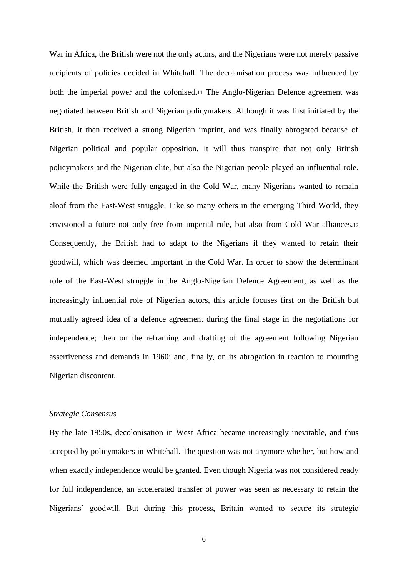War in Africa, the British were not the only actors, and the Nigerians were not merely passive recipients of policies decided in Whitehall. The decolonisation process was influenced by both the imperial power and the colonised.<sup>11</sup> The Anglo-Nigerian Defence agreement was negotiated between British and Nigerian policymakers. Although it was first initiated by the British, it then received a strong Nigerian imprint, and was finally abrogated because of Nigerian political and popular opposition. It will thus transpire that not only British policymakers and the Nigerian elite, but also the Nigerian people played an influential role. While the British were fully engaged in the Cold War, many Nigerians wanted to remain aloof from the East-West struggle. Like so many others in the emerging Third World, they envisioned a future not only free from imperial rule, but also from Cold War alliances.<sup>12</sup> Consequently, the British had to adapt to the Nigerians if they wanted to retain their goodwill, which was deemed important in the Cold War. In order to show the determinant role of the East-West struggle in the Anglo-Nigerian Defence Agreement, as well as the increasingly influential role of Nigerian actors, this article focuses first on the British but mutually agreed idea of a defence agreement during the final stage in the negotiations for independence; then on the reframing and drafting of the agreement following Nigerian assertiveness and demands in 1960; and, finally, on its abrogation in reaction to mounting Nigerian discontent.

#### *Strategic Consensus*

By the late 1950s, decolonisation in West Africa became increasingly inevitable, and thus accepted by policymakers in Whitehall. The question was not anymore whether, but how and when exactly independence would be granted. Even though Nigeria was not considered ready for full independence, an accelerated transfer of power was seen as necessary to retain the Nigerians' goodwill. But during this process, Britain wanted to secure its strategic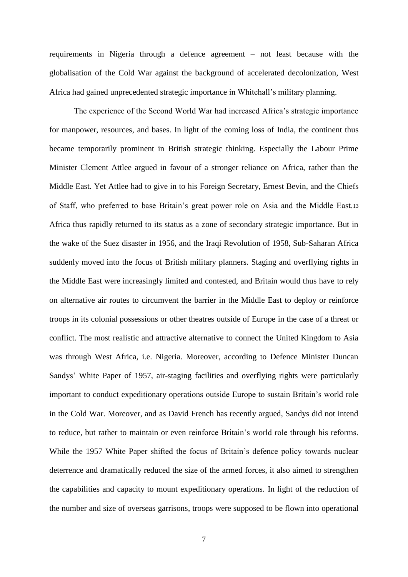requirements in Nigeria through a defence agreement – not least because with the globalisation of the Cold War against the background of accelerated decolonization, West Africa had gained unprecedented strategic importance in Whitehall's military planning.

The experience of the Second World War had increased Africa's strategic importance for manpower, resources, and bases. In light of the coming loss of India, the continent thus became temporarily prominent in British strategic thinking. Especially the Labour Prime Minister Clement Attlee argued in favour of a stronger reliance on Africa, rather than the Middle East. Yet Attlee had to give in to his Foreign Secretary, Ernest Bevin, and the Chiefs of Staff, who preferred to base Britain's great power role on Asia and the Middle East.<sup>13</sup> Africa thus rapidly returned to its status as a zone of secondary strategic importance. But in the wake of the Suez disaster in 1956, and the Iraqi Revolution of 1958, Sub-Saharan Africa suddenly moved into the focus of British military planners. Staging and overflying rights in the Middle East were increasingly limited and contested, and Britain would thus have to rely on alternative air routes to circumvent the barrier in the Middle East to deploy or reinforce troops in its colonial possessions or other theatres outside of Europe in the case of a threat or conflict. The most realistic and attractive alternative to connect the United Kingdom to Asia was through West Africa, i.e. Nigeria. Moreover, according to Defence Minister Duncan Sandys' White Paper of 1957, air-staging facilities and overflying rights were particularly important to conduct expeditionary operations outside Europe to sustain Britain's world role in the Cold War. Moreover, and as David French has recently argued, Sandys did not intend to reduce, but rather to maintain or even reinforce Britain's world role through his reforms. While the 1957 White Paper shifted the focus of Britain's defence policy towards nuclear deterrence and dramatically reduced the size of the armed forces, it also aimed to strengthen the capabilities and capacity to mount expeditionary operations. In light of the reduction of the number and size of overseas garrisons, troops were supposed to be flown into operational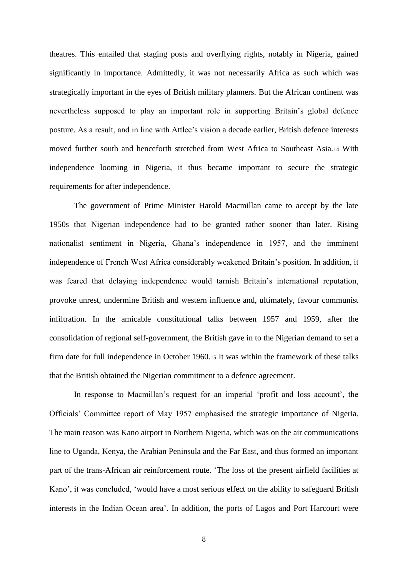theatres. This entailed that staging posts and overflying rights, notably in Nigeria, gained significantly in importance. Admittedly, it was not necessarily Africa as such which was strategically important in the eyes of British military planners. But the African continent was nevertheless supposed to play an important role in supporting Britain's global defence posture. As a result, and in line with Attlee's vision a decade earlier, British defence interests moved further south and henceforth stretched from West Africa to Southeast Asia.<sup>14</sup> With independence looming in Nigeria, it thus became important to secure the strategic requirements for after independence.

The government of Prime Minister Harold Macmillan came to accept by the late 1950s that Nigerian independence had to be granted rather sooner than later. Rising nationalist sentiment in Nigeria, Ghana's independence in 1957, and the imminent independence of French West Africa considerably weakened Britain's position. In addition, it was feared that delaying independence would tarnish Britain's international reputation, provoke unrest, undermine British and western influence and, ultimately, favour communist infiltration. In the amicable constitutional talks between 1957 and 1959, after the consolidation of regional self-government, the British gave in to the Nigerian demand to set a firm date for full independence in October 1960.<sup>15</sup> It was within the framework of these talks that the British obtained the Nigerian commitment to a defence agreement.

In response to Macmillan's request for an imperial 'profit and loss account', the Officials' Committee report of May 1957 emphasised the strategic importance of Nigeria. The main reason was Kano airport in Northern Nigeria, which was on the air communications line to Uganda, Kenya, the Arabian Peninsula and the Far East, and thus formed an important part of the trans-African air reinforcement route. 'The loss of the present airfield facilities at Kano', it was concluded, 'would have a most serious effect on the ability to safeguard British interests in the Indian Ocean area'. In addition, the ports of Lagos and Port Harcourt were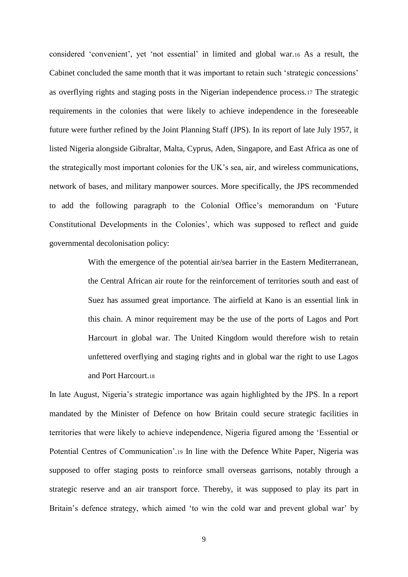considered 'convenient', yet 'not essential' in limited and global war.<sup>16</sup> As a result, the Cabinet concluded the same month that it was important to retain such 'strategic concessions' as overflying rights and staging posts in the Nigerian independence process.<sup>17</sup> The strategic requirements in the colonies that were likely to achieve independence in the foreseeable future were further refined by the Joint Planning Staff (JPS). In its report of late July 1957, it listed Nigeria alongside Gibraltar, Malta, Cyprus, Aden, Singapore, and East Africa as one of the strategically most important colonies for the UK's sea, air, and wireless communications, network of bases, and military manpower sources. More specifically, the JPS recommended to add the following paragraph to the Colonial Office's memorandum on 'Future Constitutional Developments in the Colonies', which was supposed to reflect and guide governmental decolonisation policy:

> With the emergence of the potential air/sea barrier in the Eastern Mediterranean, the Central African air route for the reinforcement of territories south and east of Suez has assumed great importance. The airfield at Kano is an essential link in this chain. A minor requirement may be the use of the ports of Lagos and Port Harcourt in global war. The United Kingdom would therefore wish to retain unfettered overflying and staging rights and in global war the right to use Lagos and Port Harcourt.<sup>18</sup>

In late August, Nigeria's strategic importance was again highlighted by the JPS. In a report mandated by the Minister of Defence on how Britain could secure strategic facilities in territories that were likely to achieve independence, Nigeria figured among the 'Essential or Potential Centres of Communication'.<sup>19</sup> In line with the Defence White Paper, Nigeria was supposed to offer staging posts to reinforce small overseas garrisons, notably through a strategic reserve and an air transport force. Thereby, it was supposed to play its part in Britain's defence strategy, which aimed 'to win the cold war and prevent global war' by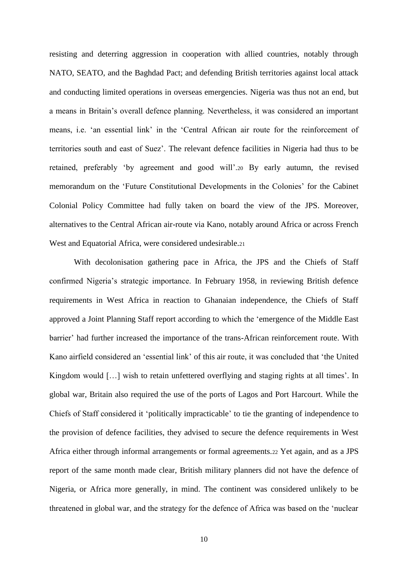resisting and deterring aggression in cooperation with allied countries, notably through NATO, SEATO, and the Baghdad Pact; and defending British territories against local attack and conducting limited operations in overseas emergencies. Nigeria was thus not an end, but a means in Britain's overall defence planning. Nevertheless, it was considered an important means, i.e. 'an essential link' in the 'Central African air route for the reinforcement of territories south and east of Suez'. The relevant defence facilities in Nigeria had thus to be retained, preferably 'by agreement and good will'.<sup>20</sup> By early autumn, the revised memorandum on the 'Future Constitutional Developments in the Colonies' for the Cabinet Colonial Policy Committee had fully taken on board the view of the JPS. Moreover, alternatives to the Central African air-route via Kano, notably around Africa or across French West and Equatorial Africa, were considered undesirable.<sup>21</sup>

With decolonisation gathering pace in Africa, the JPS and the Chiefs of Staff confirmed Nigeria's strategic importance. In February 1958, in reviewing British defence requirements in West Africa in reaction to Ghanaian independence, the Chiefs of Staff approved a Joint Planning Staff report according to which the 'emergence of the Middle East barrier' had further increased the importance of the trans-African reinforcement route. With Kano airfield considered an 'essential link' of this air route, it was concluded that 'the United Kingdom would […] wish to retain unfettered overflying and staging rights at all times'. In global war, Britain also required the use of the ports of Lagos and Port Harcourt. While the Chiefs of Staff considered it 'politically impracticable' to tie the granting of independence to the provision of defence facilities, they advised to secure the defence requirements in West Africa either through informal arrangements or formal agreements.<sup>22</sup> Yet again, and as a JPS report of the same month made clear, British military planners did not have the defence of Nigeria, or Africa more generally, in mind. The continent was considered unlikely to be threatened in global war, and the strategy for the defence of Africa was based on the 'nuclear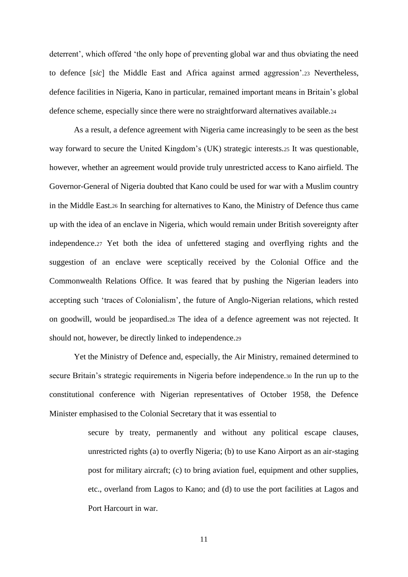deterrent', which offered 'the only hope of preventing global war and thus obviating the need to defence [*sic*] the Middle East and Africa against armed aggression'.<sup>23</sup> Nevertheless, defence facilities in Nigeria, Kano in particular, remained important means in Britain's global defence scheme, especially since there were no straightforward alternatives available.<sup>24</sup>

As a result, a defence agreement with Nigeria came increasingly to be seen as the best way forward to secure the United Kingdom's (UK) strategic interests.<sup>25</sup> It was questionable, however, whether an agreement would provide truly unrestricted access to Kano airfield. The Governor-General of Nigeria doubted that Kano could be used for war with a Muslim country in the Middle East.<sup>26</sup> In searching for alternatives to Kano, the Ministry of Defence thus came up with the idea of an enclave in Nigeria, which would remain under British sovereignty after independence.<sup>27</sup> Yet both the idea of unfettered staging and overflying rights and the suggestion of an enclave were sceptically received by the Colonial Office and the Commonwealth Relations Office. It was feared that by pushing the Nigerian leaders into accepting such 'traces of Colonialism', the future of Anglo-Nigerian relations, which rested on goodwill, would be jeopardised.<sup>28</sup> The idea of a defence agreement was not rejected. It should not, however, be directly linked to independence.<sup>29</sup>

Yet the Ministry of Defence and, especially, the Air Ministry, remained determined to secure Britain's strategic requirements in Nigeria before independence.<sup>30</sup> In the run up to the constitutional conference with Nigerian representatives of October 1958, the Defence Minister emphasised to the Colonial Secretary that it was essential to

> secure by treaty, permanently and without any political escape clauses, unrestricted rights (a) to overfly Nigeria; (b) to use Kano Airport as an air-staging post for military aircraft; (c) to bring aviation fuel, equipment and other supplies, etc., overland from Lagos to Kano; and (d) to use the port facilities at Lagos and Port Harcourt in war.

> > 11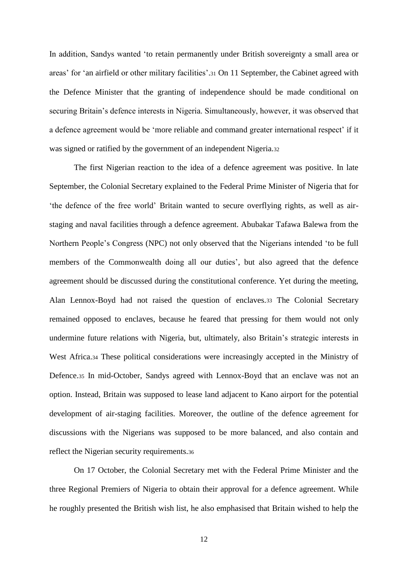In addition, Sandys wanted 'to retain permanently under British sovereignty a small area or areas' for 'an airfield or other military facilities'.<sup>31</sup> On 11 September, the Cabinet agreed with the Defence Minister that the granting of independence should be made conditional on securing Britain's defence interests in Nigeria. Simultaneously, however, it was observed that a defence agreement would be 'more reliable and command greater international respect' if it was signed or ratified by the government of an independent Nigeria.<sup>32</sup>

The first Nigerian reaction to the idea of a defence agreement was positive. In late September, the Colonial Secretary explained to the Federal Prime Minister of Nigeria that for 'the defence of the free world' Britain wanted to secure overflying rights, as well as airstaging and naval facilities through a defence agreement. Abubakar Tafawa Balewa from the Northern People's Congress (NPC) not only observed that the Nigerians intended 'to be full members of the Commonwealth doing all our duties', but also agreed that the defence agreement should be discussed during the constitutional conference. Yet during the meeting, Alan Lennox-Boyd had not raised the question of enclaves.<sup>33</sup> The Colonial Secretary remained opposed to enclaves, because he feared that pressing for them would not only undermine future relations with Nigeria, but, ultimately, also Britain's strategic interests in West Africa.<sup>34</sup> These political considerations were increasingly accepted in the Ministry of Defence.<sup>35</sup> In mid-October, Sandys agreed with Lennox-Boyd that an enclave was not an option. Instead, Britain was supposed to lease land adjacent to Kano airport for the potential development of air-staging facilities. Moreover, the outline of the defence agreement for discussions with the Nigerians was supposed to be more balanced, and also contain and reflect the Nigerian security requirements.<sup>36</sup>

On 17 October, the Colonial Secretary met with the Federal Prime Minister and the three Regional Premiers of Nigeria to obtain their approval for a defence agreement. While he roughly presented the British wish list, he also emphasised that Britain wished to help the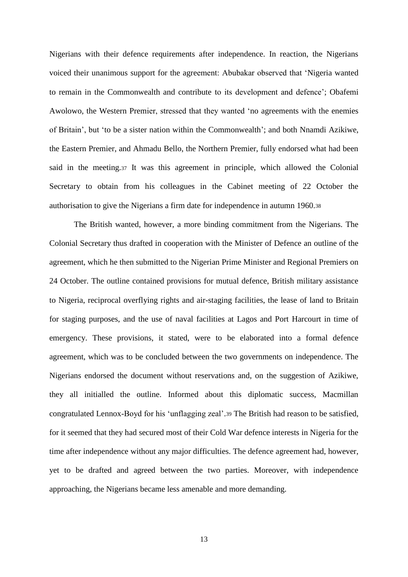Nigerians with their defence requirements after independence. In reaction, the Nigerians voiced their unanimous support for the agreement: Abubakar observed that 'Nigeria wanted to remain in the Commonwealth and contribute to its development and defence'; Obafemi Awolowo, the Western Premier, stressed that they wanted 'no agreements with the enemies of Britain', but 'to be a sister nation within the Commonwealth'; and both Nnamdi Azikiwe, the Eastern Premier, and Ahmadu Bello, the Northern Premier, fully endorsed what had been said in the meeting.<sup>37</sup> It was this agreement in principle, which allowed the Colonial Secretary to obtain from his colleagues in the Cabinet meeting of 22 October the authorisation to give the Nigerians a firm date for independence in autumn 1960.<sup>38</sup>

The British wanted, however, a more binding commitment from the Nigerians. The Colonial Secretary thus drafted in cooperation with the Minister of Defence an outline of the agreement, which he then submitted to the Nigerian Prime Minister and Regional Premiers on 24 October. The outline contained provisions for mutual defence, British military assistance to Nigeria, reciprocal overflying rights and air-staging facilities, the lease of land to Britain for staging purposes, and the use of naval facilities at Lagos and Port Harcourt in time of emergency. These provisions, it stated, were to be elaborated into a formal defence agreement, which was to be concluded between the two governments on independence. The Nigerians endorsed the document without reservations and, on the suggestion of Azikiwe, they all initialled the outline. Informed about this diplomatic success, Macmillan congratulated Lennox-Boyd for his 'unflagging zeal'.<sup>39</sup> The British had reason to be satisfied, for it seemed that they had secured most of their Cold War defence interests in Nigeria for the time after independence without any major difficulties. The defence agreement had, however, yet to be drafted and agreed between the two parties. Moreover, with independence approaching, the Nigerians became less amenable and more demanding.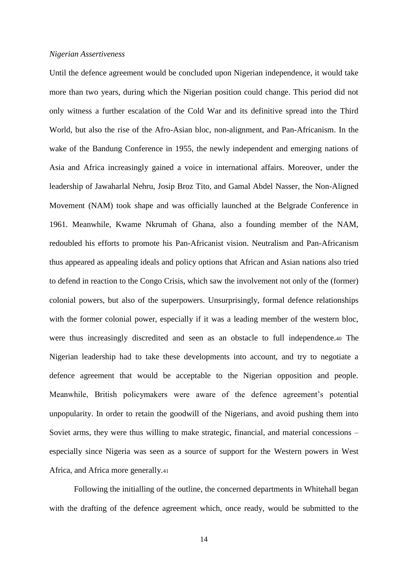## *Nigerian Assertiveness*

Until the defence agreement would be concluded upon Nigerian independence, it would take more than two years, during which the Nigerian position could change. This period did not only witness a further escalation of the Cold War and its definitive spread into the Third World, but also the rise of the Afro-Asian bloc, non-alignment, and Pan-Africanism. In the wake of the Bandung Conference in 1955, the newly independent and emerging nations of Asia and Africa increasingly gained a voice in international affairs. Moreover, under the leadership of Jawaharlal Nehru, Josip Broz Tito, and Gamal Abdel Nasser, the Non-Aligned Movement (NAM) took shape and was officially launched at the Belgrade Conference in 1961. Meanwhile, Kwame Nkrumah of Ghana, also a founding member of the NAM, redoubled his efforts to promote his Pan-Africanist vision. Neutralism and Pan-Africanism thus appeared as appealing ideals and policy options that African and Asian nations also tried to defend in reaction to the Congo Crisis, which saw the involvement not only of the (former) colonial powers, but also of the superpowers. Unsurprisingly, formal defence relationships with the former colonial power, especially if it was a leading member of the western bloc, were thus increasingly discredited and seen as an obstacle to full independence.<sup>40</sup> The Nigerian leadership had to take these developments into account, and try to negotiate a defence agreement that would be acceptable to the Nigerian opposition and people. Meanwhile, British policymakers were aware of the defence agreement's potential unpopularity. In order to retain the goodwill of the Nigerians, and avoid pushing them into Soviet arms, they were thus willing to make strategic, financial, and material concessions – especially since Nigeria was seen as a source of support for the Western powers in West Africa, and Africa more generally.<sup>41</sup>

Following the initialling of the outline, the concerned departments in Whitehall began with the drafting of the defence agreement which, once ready, would be submitted to the

14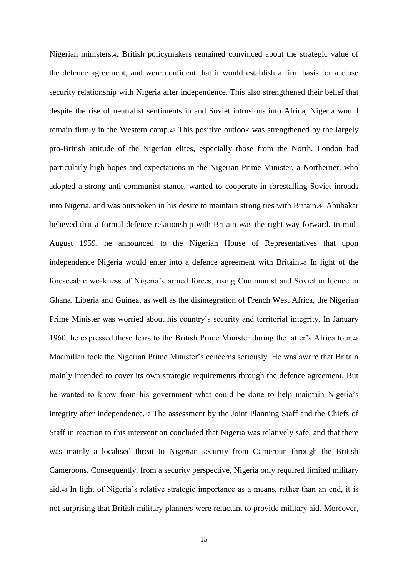Nigerian ministers.<sup>42</sup> British policymakers remained convinced about the strategic value of the defence agreement, and were confident that it would establish a firm basis for a close security relationship with Nigeria after independence. This also strengthened their belief that despite the rise of neutralist sentiments in and Soviet intrusions into Africa, Nigeria would remain firmly in the Western camp.<sup>43</sup> This positive outlook was strengthened by the largely pro-British attitude of the Nigerian elites, especially those from the North. London had particularly high hopes and expectations in the Nigerian Prime Minister, a Northerner, who adopted a strong anti-communist stance, wanted to cooperate in forestalling Soviet inroads into Nigeria, and was outspoken in his desire to maintain strong ties with Britain.<sup>44</sup> Abubakar believed that a formal defence relationship with Britain was the right way forward. In mid-August 1959, he announced to the Nigerian House of Representatives that upon independence Nigeria would enter into a defence agreement with Britain.<sup>45</sup> In light of the foreseeable weakness of Nigeria's armed forces, rising Communist and Soviet influence in Ghana, Liberia and Guinea, as well as the disintegration of French West Africa, the Nigerian Prime Minister was worried about his country's security and territorial integrity. In January 1960, he expressed these fears to the British Prime Minister during the latter's Africa tour.<sup>46</sup> Macmillan took the Nigerian Prime Minister's concerns seriously. He was aware that Britain mainly intended to cover its own strategic requirements through the defence agreement. But he wanted to know from his government what could be done to help maintain Nigeria's integrity after independence.<sup>47</sup> The assessment by the Joint Planning Staff and the Chiefs of Staff in reaction to this intervention concluded that Nigeria was relatively safe, and that there was mainly a localised threat to Nigerian security from Cameroun through the British Cameroons. Consequently, from a security perspective, Nigeria only required limited military aid.<sup>48</sup> In light of Nigeria's relative strategic importance as a means, rather than an end, it is not surprising that British military planners were reluctant to provide military aid. Moreover,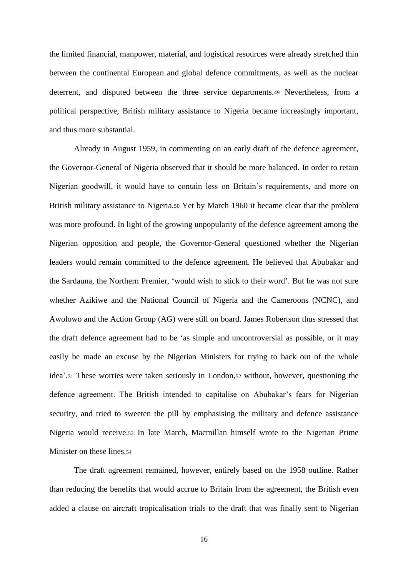the limited financial, manpower, material, and logistical resources were already stretched thin between the continental European and global defence commitments, as well as the nuclear deterrent, and disputed between the three service departments.<sup>49</sup> Nevertheless, from a political perspective, British military assistance to Nigeria became increasingly important, and thus more substantial.

Already in August 1959, in commenting on an early draft of the defence agreement, the Governor-General of Nigeria observed that it should be more balanced. In order to retain Nigerian goodwill, it would have to contain less on Britain's requirements, and more on British military assistance to Nigeria.<sup>50</sup> Yet by March 1960 it became clear that the problem was more profound. In light of the growing unpopularity of the defence agreement among the Nigerian opposition and people, the Governor-General questioned whether the Nigerian leaders would remain committed to the defence agreement. He believed that Abubakar and the Sardauna, the Northern Premier, 'would wish to stick to their word'. But he was not sure whether Azikiwe and the National Council of Nigeria and the Cameroons (NCNC), and Awolowo and the Action Group (AG) were still on board. James Robertson thus stressed that the draft defence agreement had to be 'as simple and uncontroversial as possible, or it may easily be made an excuse by the Nigerian Ministers for trying to back out of the whole idea'.<sup>51</sup> These worries were taken seriously in London,<sup>52</sup> without, however, questioning the defence agreement. The British intended to capitalise on Abubakar's fears for Nigerian security, and tried to sweeten the pill by emphasising the military and defence assistance Nigeria would receive.<sup>53</sup> In late March, Macmillan himself wrote to the Nigerian Prime Minister on these lines.<sup>54</sup>

The draft agreement remained, however, entirely based on the 1958 outline. Rather than reducing the benefits that would accrue to Britain from the agreement, the British even added a clause on aircraft tropicalisation trials to the draft that was finally sent to Nigerian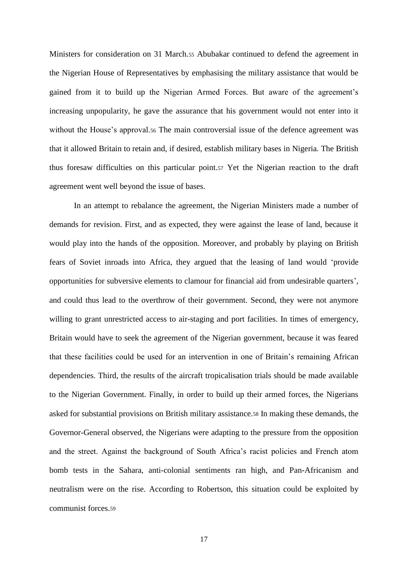Ministers for consideration on 31 March.<sup>55</sup> Abubakar continued to defend the agreement in the Nigerian House of Representatives by emphasising the military assistance that would be gained from it to build up the Nigerian Armed Forces. But aware of the agreement's increasing unpopularity, he gave the assurance that his government would not enter into it without the House's approval.<sup>56</sup> The main controversial issue of the defence agreement was that it allowed Britain to retain and, if desired, establish military bases in Nigeria. The British thus foresaw difficulties on this particular point.<sup>57</sup> Yet the Nigerian reaction to the draft agreement went well beyond the issue of bases.

In an attempt to rebalance the agreement, the Nigerian Ministers made a number of demands for revision. First, and as expected, they were against the lease of land, because it would play into the hands of the opposition. Moreover, and probably by playing on British fears of Soviet inroads into Africa, they argued that the leasing of land would 'provide opportunities for subversive elements to clamour for financial aid from undesirable quarters', and could thus lead to the overthrow of their government. Second, they were not anymore willing to grant unrestricted access to air-staging and port facilities. In times of emergency, Britain would have to seek the agreement of the Nigerian government, because it was feared that these facilities could be used for an intervention in one of Britain's remaining African dependencies. Third, the results of the aircraft tropicalisation trials should be made available to the Nigerian Government. Finally, in order to build up their armed forces, the Nigerians asked for substantial provisions on British military assistance.<sup>58</sup> In making these demands, the Governor-General observed, the Nigerians were adapting to the pressure from the opposition and the street. Against the background of South Africa's racist policies and French atom bomb tests in the Sahara, anti-colonial sentiments ran high, and Pan-Africanism and neutralism were on the rise. According to Robertson, this situation could be exploited by communist forces.59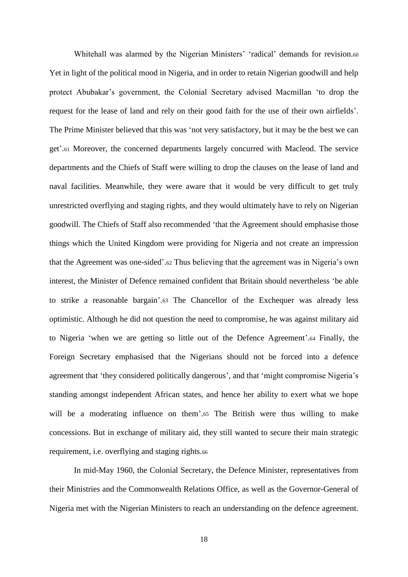Whitehall was alarmed by the Nigerian Ministers' 'radical' demands for revision.60 Yet in light of the political mood in Nigeria, and in order to retain Nigerian goodwill and help protect Abubakar's government, the Colonial Secretary advised Macmillan 'to drop the request for the lease of land and rely on their good faith for the use of their own airfields'. The Prime Minister believed that this was 'not very satisfactory, but it may be the best we can get'.<sup>61</sup> Moreover, the concerned departments largely concurred with Macleod. The service departments and the Chiefs of Staff were willing to drop the clauses on the lease of land and naval facilities. Meanwhile, they were aware that it would be very difficult to get truly unrestricted overflying and staging rights, and they would ultimately have to rely on Nigerian goodwill. The Chiefs of Staff also recommended 'that the Agreement should emphasise those things which the United Kingdom were providing for Nigeria and not create an impression that the Agreement was one-sided'.<sup>62</sup> Thus believing that the agreement was in Nigeria's own interest, the Minister of Defence remained confident that Britain should nevertheless 'be able to strike a reasonable bargain'.<sup>63</sup> The Chancellor of the Exchequer was already less optimistic. Although he did not question the need to compromise, he was against military aid to Nigeria 'when we are getting so little out of the Defence Agreement'.<sup>64</sup> Finally, the Foreign Secretary emphasised that the Nigerians should not be forced into a defence agreement that 'they considered politically dangerous', and that 'might compromise Nigeria's standing amongst independent African states, and hence her ability to exert what we hope will be a moderating influence on them'.65 The British were thus willing to make concessions. But in exchange of military aid, they still wanted to secure their main strategic requirement, i.e. overflying and staging rights.<sup>66</sup>

In mid-May 1960, the Colonial Secretary, the Defence Minister, representatives from their Ministries and the Commonwealth Relations Office, as well as the Governor-General of Nigeria met with the Nigerian Ministers to reach an understanding on the defence agreement.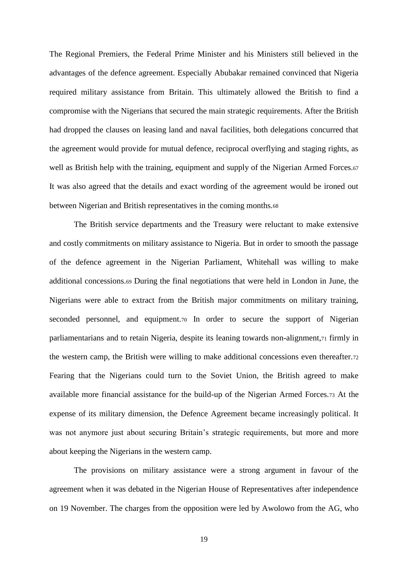The Regional Premiers, the Federal Prime Minister and his Ministers still believed in the advantages of the defence agreement. Especially Abubakar remained convinced that Nigeria required military assistance from Britain. This ultimately allowed the British to find a compromise with the Nigerians that secured the main strategic requirements. After the British had dropped the clauses on leasing land and naval facilities, both delegations concurred that the agreement would provide for mutual defence, reciprocal overflying and staging rights, as well as British help with the training, equipment and supply of the Nigerian Armed Forces.67 It was also agreed that the details and exact wording of the agreement would be ironed out between Nigerian and British representatives in the coming months.<sup>68</sup>

The British service departments and the Treasury were reluctant to make extensive and costly commitments on military assistance to Nigeria. But in order to smooth the passage of the defence agreement in the Nigerian Parliament, Whitehall was willing to make additional concessions.<sup>69</sup> During the final negotiations that were held in London in June, the Nigerians were able to extract from the British major commitments on military training, seconded personnel, and equipment.<sup>70</sup> In order to secure the support of Nigerian parliamentarians and to retain Nigeria, despite its leaning towards non-alignment,<sup>71</sup> firmly in the western camp, the British were willing to make additional concessions even thereafter.<sup>72</sup> Fearing that the Nigerians could turn to the Soviet Union, the British agreed to make available more financial assistance for the build-up of the Nigerian Armed Forces.<sup>73</sup> At the expense of its military dimension, the Defence Agreement became increasingly political. It was not anymore just about securing Britain's strategic requirements, but more and more about keeping the Nigerians in the western camp.

The provisions on military assistance were a strong argument in favour of the agreement when it was debated in the Nigerian House of Representatives after independence on 19 November. The charges from the opposition were led by Awolowo from the AG, who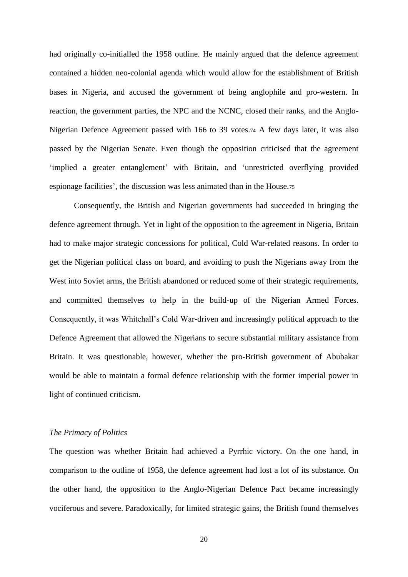had originally co-initialled the 1958 outline. He mainly argued that the defence agreement contained a hidden neo-colonial agenda which would allow for the establishment of British bases in Nigeria, and accused the government of being anglophile and pro-western. In reaction, the government parties, the NPC and the NCNC, closed their ranks, and the Anglo-Nigerian Defence Agreement passed with 166 to 39 votes.<sup>74</sup> A few days later, it was also passed by the Nigerian Senate. Even though the opposition criticised that the agreement 'implied a greater entanglement' with Britain, and 'unrestricted overflying provided espionage facilities', the discussion was less animated than in the House.<sup>75</sup>

Consequently, the British and Nigerian governments had succeeded in bringing the defence agreement through. Yet in light of the opposition to the agreement in Nigeria, Britain had to make major strategic concessions for political, Cold War-related reasons. In order to get the Nigerian political class on board, and avoiding to push the Nigerians away from the West into Soviet arms, the British abandoned or reduced some of their strategic requirements, and committed themselves to help in the build-up of the Nigerian Armed Forces. Consequently, it was Whitehall's Cold War-driven and increasingly political approach to the Defence Agreement that allowed the Nigerians to secure substantial military assistance from Britain. It was questionable, however, whether the pro-British government of Abubakar would be able to maintain a formal defence relationship with the former imperial power in light of continued criticism.

## *The Primacy of Politics*

The question was whether Britain had achieved a Pyrrhic victory. On the one hand, in comparison to the outline of 1958, the defence agreement had lost a lot of its substance. On the other hand, the opposition to the Anglo-Nigerian Defence Pact became increasingly vociferous and severe. Paradoxically, for limited strategic gains, the British found themselves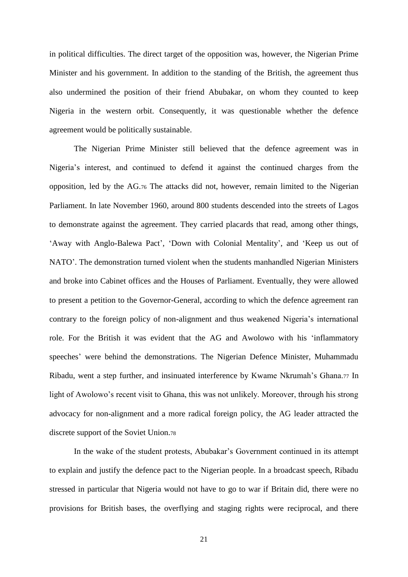in political difficulties. The direct target of the opposition was, however, the Nigerian Prime Minister and his government. In addition to the standing of the British, the agreement thus also undermined the position of their friend Abubakar, on whom they counted to keep Nigeria in the western orbit. Consequently, it was questionable whether the defence agreement would be politically sustainable.

The Nigerian Prime Minister still believed that the defence agreement was in Nigeria's interest, and continued to defend it against the continued charges from the opposition, led by the AG.<sup>76</sup> The attacks did not, however, remain limited to the Nigerian Parliament. In late November 1960, around 800 students descended into the streets of Lagos to demonstrate against the agreement. They carried placards that read, among other things, 'Away with Anglo-Balewa Pact', 'Down with Colonial Mentality', and 'Keep us out of NATO'. The demonstration turned violent when the students manhandled Nigerian Ministers and broke into Cabinet offices and the Houses of Parliament. Eventually, they were allowed to present a petition to the Governor-General, according to which the defence agreement ran contrary to the foreign policy of non-alignment and thus weakened Nigeria's international role. For the British it was evident that the AG and Awolowo with his 'inflammatory speeches' were behind the demonstrations. The Nigerian Defence Minister, Muhammadu Ribadu, went a step further, and insinuated interference by Kwame Nkrumah's Ghana.<sup>77</sup> In light of Awolowo's recent visit to Ghana, this was not unlikely. Moreover, through his strong advocacy for non-alignment and a more radical foreign policy, the AG leader attracted the discrete support of the Soviet Union.<sup>78</sup>

In the wake of the student protests, Abubakar's Government continued in its attempt to explain and justify the defence pact to the Nigerian people. In a broadcast speech, Ribadu stressed in particular that Nigeria would not have to go to war if Britain did, there were no provisions for British bases, the overflying and staging rights were reciprocal, and there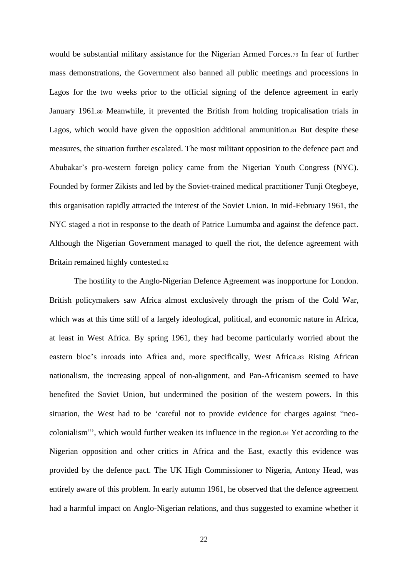would be substantial military assistance for the Nigerian Armed Forces.<sup>79</sup> In fear of further mass demonstrations, the Government also banned all public meetings and processions in Lagos for the two weeks prior to the official signing of the defence agreement in early January 1961.<sup>80</sup> Meanwhile, it prevented the British from holding tropicalisation trials in Lagos, which would have given the opposition additional ammunition.<sup>81</sup> But despite these measures, the situation further escalated. The most militant opposition to the defence pact and Abubakar's pro-western foreign policy came from the Nigerian Youth Congress (NYC). Founded by former Zikists and led by the Soviet-trained medical practitioner Tunji Otegbeye, this organisation rapidly attracted the interest of the Soviet Union. In mid-February 1961, the NYC staged a riot in response to the death of Patrice Lumumba and against the defence pact. Although the Nigerian Government managed to quell the riot, the defence agreement with Britain remained highly contested.<sup>82</sup>

The hostility to the Anglo-Nigerian Defence Agreement was inopportune for London. British policymakers saw Africa almost exclusively through the prism of the Cold War, which was at this time still of a largely ideological, political, and economic nature in Africa, at least in West Africa. By spring 1961, they had become particularly worried about the eastern bloc's inroads into Africa and, more specifically, West Africa.<sup>83</sup> Rising African nationalism, the increasing appeal of non-alignment, and Pan-Africanism seemed to have benefited the Soviet Union, but undermined the position of the western powers. In this situation, the West had to be 'careful not to provide evidence for charges against "neocolonialism"', which would further weaken its influence in the region.<sup>84</sup> Yet according to the Nigerian opposition and other critics in Africa and the East, exactly this evidence was provided by the defence pact. The UK High Commissioner to Nigeria, Antony Head, was entirely aware of this problem. In early autumn 1961, he observed that the defence agreement had a harmful impact on Anglo-Nigerian relations, and thus suggested to examine whether it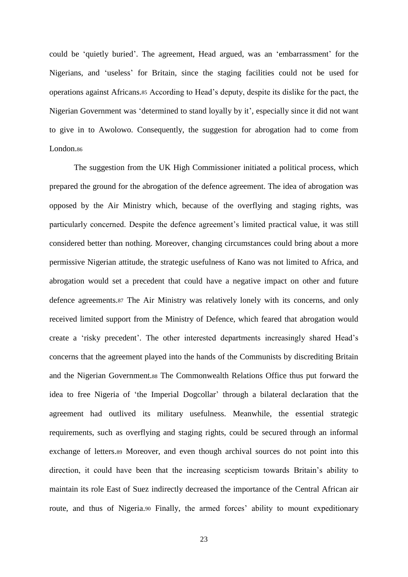could be 'quietly buried'. The agreement, Head argued, was an 'embarrassment' for the Nigerians, and 'useless' for Britain, since the staging facilities could not be used for operations against Africans.<sup>85</sup> According to Head's deputy, despite its dislike for the pact, the Nigerian Government was 'determined to stand loyally by it', especially since it did not want to give in to Awolowo. Consequently, the suggestion for abrogation had to come from London.<sup>86</sup>

The suggestion from the UK High Commissioner initiated a political process, which prepared the ground for the abrogation of the defence agreement. The idea of abrogation was opposed by the Air Ministry which, because of the overflying and staging rights, was particularly concerned. Despite the defence agreement's limited practical value, it was still considered better than nothing. Moreover, changing circumstances could bring about a more permissive Nigerian attitude, the strategic usefulness of Kano was not limited to Africa, and abrogation would set a precedent that could have a negative impact on other and future defence agreements.<sup>87</sup> The Air Ministry was relatively lonely with its concerns, and only received limited support from the Ministry of Defence, which feared that abrogation would create a 'risky precedent'. The other interested departments increasingly shared Head's concerns that the agreement played into the hands of the Communists by discrediting Britain and the Nigerian Government.<sup>88</sup> The Commonwealth Relations Office thus put forward the idea to free Nigeria of 'the Imperial Dogcollar' through a bilateral declaration that the agreement had outlived its military usefulness. Meanwhile, the essential strategic requirements, such as overflying and staging rights, could be secured through an informal exchange of letters.<sup>89</sup> Moreover, and even though archival sources do not point into this direction, it could have been that the increasing scepticism towards Britain's ability to maintain its role East of Suez indirectly decreased the importance of the Central African air route, and thus of Nigeria.<sup>90</sup> Finally, the armed forces' ability to mount expeditionary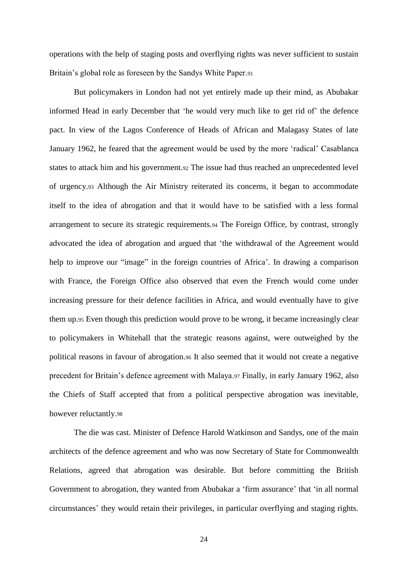operations with the help of staging posts and overflying rights was never sufficient to sustain Britain's global role as foreseen by the Sandys White Paper.<sup>91</sup>

But policymakers in London had not yet entirely made up their mind, as Abubakar informed Head in early December that 'he would very much like to get rid of' the defence pact. In view of the Lagos Conference of Heads of African and Malagasy States of late January 1962, he feared that the agreement would be used by the more 'radical' Casablanca states to attack him and his government.<sup>92</sup> The issue had thus reached an unprecedented level of urgency.<sup>93</sup> Although the Air Ministry reiterated its concerns, it began to accommodate itself to the idea of abrogation and that it would have to be satisfied with a less formal arrangement to secure its strategic requirements.<sup>94</sup> The Foreign Office, by contrast, strongly advocated the idea of abrogation and argued that 'the withdrawal of the Agreement would help to improve our "image" in the foreign countries of Africa'. In drawing a comparison with France, the Foreign Office also observed that even the French would come under increasing pressure for their defence facilities in Africa, and would eventually have to give them up.<sup>95</sup> Even though this prediction would prove to be wrong, it became increasingly clear to policymakers in Whitehall that the strategic reasons against, were outweighed by the political reasons in favour of abrogation.<sup>96</sup> It also seemed that it would not create a negative precedent for Britain's defence agreement with Malaya.<sup>97</sup> Finally, in early January 1962, also the Chiefs of Staff accepted that from a political perspective abrogation was inevitable, however reluctantly.<sup>98</sup>

The die was cast. Minister of Defence Harold Watkinson and Sandys, one of the main architects of the defence agreement and who was now Secretary of State for Commonwealth Relations, agreed that abrogation was desirable. But before committing the British Government to abrogation, they wanted from Abubakar a 'firm assurance' that 'in all normal circumstances' they would retain their privileges, in particular overflying and staging rights.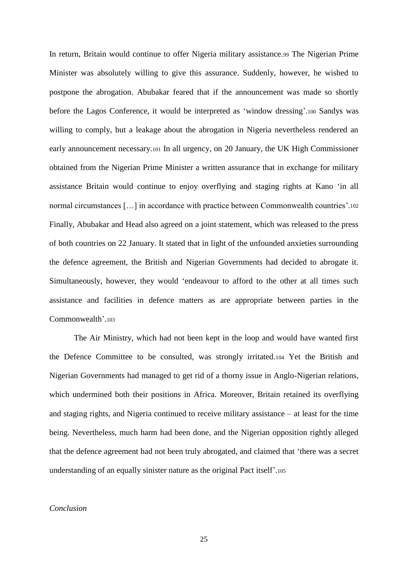In return, Britain would continue to offer Nigeria military assistance.<sup>99</sup> The Nigerian Prime Minister was absolutely willing to give this assurance. Suddenly, however, he wished to postpone the abrogation. Abubakar feared that if the announcement was made so shortly before the Lagos Conference, it would be interpreted as 'window dressing'.<sup>100</sup> Sandys was willing to comply, but a leakage about the abrogation in Nigeria nevertheless rendered an early announcement necessary.<sup>101</sup> In all urgency, on 20 January, the UK High Commissioner obtained from the Nigerian Prime Minister a written assurance that in exchange for military assistance Britain would continue to enjoy overflying and staging rights at Kano 'in all normal circumstances […] in accordance with practice between Commonwealth countries'.<sup>102</sup> Finally, Abubakar and Head also agreed on a joint statement, which was released to the press of both countries on 22 January. It stated that in light of the unfounded anxieties surrounding the defence agreement, the British and Nigerian Governments had decided to abrogate it. Simultaneously, however, they would 'endeavour to afford to the other at all times such assistance and facilities in defence matters as are appropriate between parties in the Commonwealth'.<sup>103</sup>

The Air Ministry, which had not been kept in the loop and would have wanted first the Defence Committee to be consulted, was strongly irritated.<sup>104</sup> Yet the British and Nigerian Governments had managed to get rid of a thorny issue in Anglo-Nigerian relations, which undermined both their positions in Africa. Moreover, Britain retained its overflying and staging rights, and Nigeria continued to receive military assistance – at least for the time being. Nevertheless, much harm had been done, and the Nigerian opposition rightly alleged that the defence agreement had not been truly abrogated, and claimed that 'there was a secret understanding of an equally sinister nature as the original Pact itself'.<sup>105</sup>

## *Conclusion*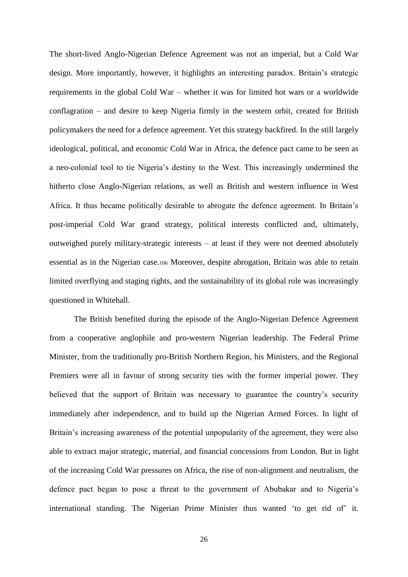The short-lived Anglo-Nigerian Defence Agreement was not an imperial, but a Cold War design. More importantly, however, it highlights an interesting paradox. Britain's strategic requirements in the global Cold War – whether it was for limited hot wars or a worldwide conflagration – and desire to keep Nigeria firmly in the western orbit, created for British policymakers the need for a defence agreement. Yet this strategy backfired. In the still largely ideological, political, and economic Cold War in Africa, the defence pact came to be seen as a neo-colonial tool to tie Nigeria's destiny to the West. This increasingly undermined the hitherto close Anglo-Nigerian relations, as well as British and western influence in West Africa. It thus became politically desirable to abrogate the defence agreement. In Britain's post-imperial Cold War grand strategy, political interests conflicted and, ultimately, outweighed purely military-strategic interests – at least if they were not deemed absolutely essential as in the Nigerian case.<sup>106</sup> Moreover, despite abrogation, Britain was able to retain limited overflying and staging rights, and the sustainability of its global role was increasingly questioned in Whitehall.

The British benefited during the episode of the Anglo-Nigerian Defence Agreement from a cooperative anglophile and pro-western Nigerian leadership. The Federal Prime Minister, from the traditionally pro-British Northern Region, his Ministers, and the Regional Premiers were all in favour of strong security ties with the former imperial power. They believed that the support of Britain was necessary to guarantee the country's security immediately after independence, and to build up the Nigerian Armed Forces. In light of Britain's increasing awareness of the potential unpopularity of the agreement, they were also able to extract major strategic, material, and financial concessions from London. But in light of the increasing Cold War pressures on Africa, the rise of non-alignment and neutralism, the defence pact began to pose a threat to the government of Abubakar and to Nigeria's international standing. The Nigerian Prime Minister thus wanted 'to get rid of' it.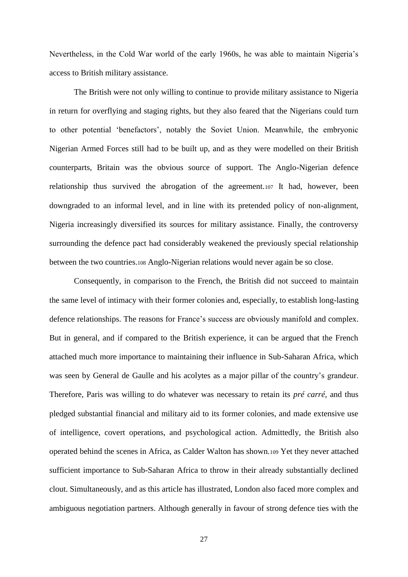Nevertheless, in the Cold War world of the early 1960s, he was able to maintain Nigeria's access to British military assistance.

The British were not only willing to continue to provide military assistance to Nigeria in return for overflying and staging rights, but they also feared that the Nigerians could turn to other potential 'benefactors', notably the Soviet Union. Meanwhile, the embryonic Nigerian Armed Forces still had to be built up, and as they were modelled on their British counterparts, Britain was the obvious source of support. The Anglo-Nigerian defence relationship thus survived the abrogation of the agreement.<sup>107</sup> It had, however, been downgraded to an informal level, and in line with its pretended policy of non-alignment, Nigeria increasingly diversified its sources for military assistance. Finally, the controversy surrounding the defence pact had considerably weakened the previously special relationship between the two countries.<sup>108</sup> Anglo-Nigerian relations would never again be so close.

Consequently, in comparison to the French, the British did not succeed to maintain the same level of intimacy with their former colonies and, especially, to establish long-lasting defence relationships. The reasons for France's success are obviously manifold and complex. But in general, and if compared to the British experience, it can be argued that the French attached much more importance to maintaining their influence in Sub-Saharan Africa, which was seen by General de Gaulle and his acolytes as a major pillar of the country's grandeur. Therefore, Paris was willing to do whatever was necessary to retain its *pré carré*, and thus pledged substantial financial and military aid to its former colonies, and made extensive use of intelligence, covert operations, and psychological action. Admittedly, the British also operated behind the scenes in Africa, as Calder Walton has shown.<sup>109</sup> Yet they never attached sufficient importance to Sub-Saharan Africa to throw in their already substantially declined clout. Simultaneously, and as this article has illustrated, London also faced more complex and ambiguous negotiation partners. Although generally in favour of strong defence ties with the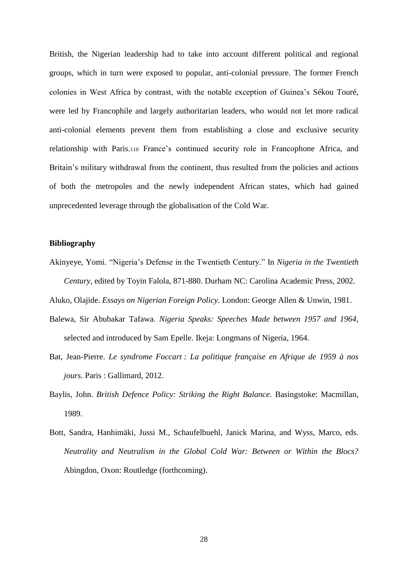British, the Nigerian leadership had to take into account different political and regional groups, which in turn were exposed to popular, anti-colonial pressure. The former French colonies in West Africa by contrast, with the notable exception of Guinea's Sékou Touré, were led by Francophile and largely authoritarian leaders, who would not let more radical anti-colonial elements prevent them from establishing a close and exclusive security relationship with Paris.<sup>110</sup> France's continued security role in Francophone Africa, and Britain's military withdrawal from the continent, thus resulted from the policies and actions of both the metropoles and the newly independent African states, which had gained unprecedented leverage through the globalisation of the Cold War.

# **Bibliography**

Akinyeye, Yomi. "Nigeria's Defense in the Twentieth Century." In *Nigeria in the Twentieth Century*, edited by Toyin Falola, 871-880. Durham NC: Carolina Academic Press, 2002.

Aluko, Olajide. *Essays on Nigerian Foreign Policy*. London: George Allen & Unwin, 1981.

- Balewa, Sir Abubakar Tafawa. *Nigeria Speaks: Speeches Made between 1957 and 1964*, selected and introduced by Sam Epelle. Ikeja: Longmans of Nigeria, 1964.
- Bat, Jean-Pierre. *Le syndrome Foccart : La politique française en Afrique de 1959 à nos jours*. Paris : Gallimard, 2012.
- Baylis, John. *British Defence Policy: Striking the Right Balance*. Basingstoke: Macmillan, 1989.
- Bott, Sandra, Hanhimäki, Jussi M., Schaufelbuehl, Janick Marina, and Wyss, Marco, eds. *Neutrality and Neutralism in the Global Cold War: Between or Within the Blocs?* Abingdon, Oxon: Routledge (forthcoming).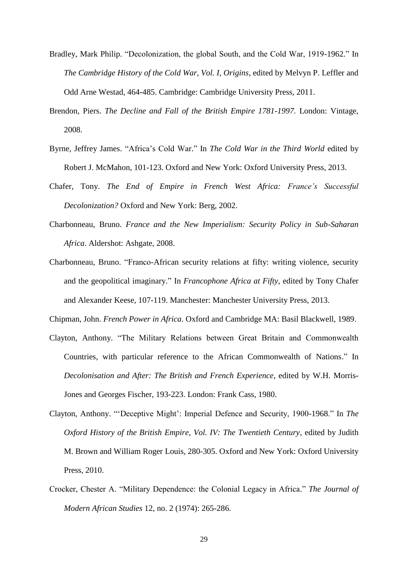- Bradley, Mark Philip. "Decolonization, the global South, and the Cold War, 1919-1962." In *The Cambridge History of the Cold War, Vol. I, Origins*, edited by Melvyn P. Leffler and Odd Arne Westad, 464-485. Cambridge: Cambridge University Press, 2011.
- Brendon, Piers. *The Decline and Fall of the British Empire 1781-1997*. London: Vintage, 2008.
- Byrne, Jeffrey James. "Africa's Cold War." In *The Cold War in the Third World* edited by Robert J. McMahon, 101-123. Oxford and New York: Oxford University Press, 2013.
- Chafer, Tony. *The End of Empire in French West Africa: France's Successful Decolonization?* Oxford and New York: Berg, 2002.
- Charbonneau, Bruno. *France and the New Imperialism: Security Policy in Sub-Saharan Africa*. Aldershot: Ashgate, 2008.
- Charbonneau, Bruno. "Franco-African security relations at fifty: writing violence, security and the geopolitical imaginary." In *Francophone Africa at Fifty*, edited by Tony Chafer and Alexander Keese, 107-119. Manchester: Manchester University Press, 2013.

Chipman, John. *French Power in Africa*. Oxford and Cambridge MA: Basil Blackwell, 1989.

- Clayton, Anthony. "The Military Relations between Great Britain and Commonwealth Countries, with particular reference to the African Commonwealth of Nations." In *Decolonisation and After: The British and French Experience*, edited by W.H. Morris-Jones and Georges Fischer, 193-223. London: Frank Cass, 1980.
- Clayton, Anthony. "'Deceptive Might': Imperial Defence and Security, 1900-1968." In *The Oxford History of the British Empire, Vol. IV: The Twentieth Century*, edited by Judith M. Brown and William Roger Louis, 280-305. Oxford and New York: Oxford University Press, 2010.
- Crocker, Chester A. "Military Dependence: the Colonial Legacy in Africa." *The Journal of Modern African Studies* 12, no. 2 (1974): 265-286.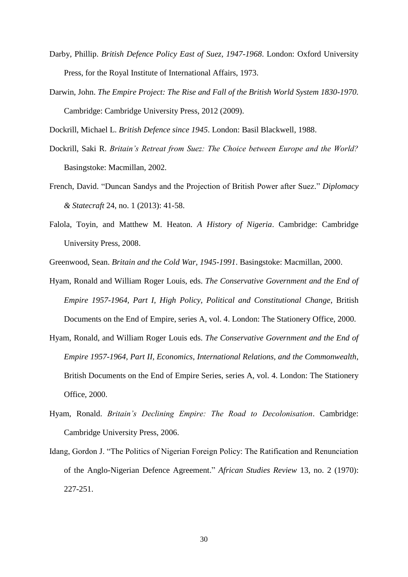- Darby, Phillip. *British Defence Policy East of Suez, 1947-1968*. London: Oxford University Press, for the Royal Institute of International Affairs, 1973.
- Darwin, John. *The Empire Project: The Rise and Fall of the British World System 1830-1970*. Cambridge: Cambridge University Press, 2012 (2009).

Dockrill, Michael L. *British Defence since 1945*. London: Basil Blackwell, 1988.

- Dockrill, Saki R. *Britain's Retreat from Suez: The Choice between Europe and the World?* Basingstoke: Macmillan, 2002.
- French, David. "Duncan Sandys and the Projection of British Power after Suez." *Diplomacy & Statecraft* 24, no. 1 (2013): 41-58.
- Falola, Toyin, and Matthew M. Heaton. *A History of Nigeria*. Cambridge: Cambridge University Press, 2008.

Greenwood, Sean. *Britain and the Cold War, 1945-1991*. Basingstoke: Macmillan, 2000.

- Hyam, Ronald and William Roger Louis, eds. *The Conservative Government and the End of Empire 1957-1964, Part I, High Policy, Political and Constitutional Change*, British Documents on the End of Empire, series A, vol. 4. London: The Stationery Office, 2000.
- Hyam, Ronald, and William Roger Louis eds. *The Conservative Government and the End of Empire 1957-1964, Part II, Economics, International Relations, and the Commonwealth*, British Documents on the End of Empire Series, series A, vol. 4. London: The Stationery Office, 2000.
- Hyam, Ronald. *Britain's Declining Empire: The Road to Decolonisation*. Cambridge: Cambridge University Press, 2006.
- Idang, Gordon J. "The Politics of Nigerian Foreign Policy: The Ratification and Renunciation of the Anglo-Nigerian Defence Agreement." *African Studies Review* 13, no. 2 (1970): 227-251.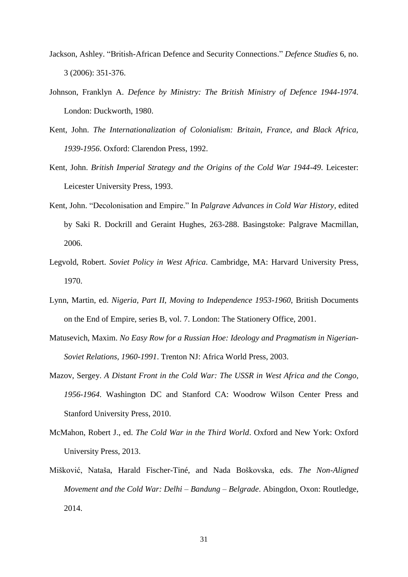- Jackson, Ashley. "British-African Defence and Security Connections." *Defence Studies* 6, no. 3 (2006): 351-376.
- Johnson, Franklyn A. *Defence by Ministry: The British Ministry of Defence 1944-1974*. London: Duckworth, 1980.
- Kent, John. *The Internationalization of Colonialism: Britain, France, and Black Africa, 1939-1956*. Oxford: Clarendon Press, 1992.
- Kent, John. *British Imperial Strategy and the Origins of the Cold War 1944-49*. Leicester: Leicester University Press, 1993.
- Kent, John. "Decolonisation and Empire." In *Palgrave Advances in Cold War History*, edited by Saki R. Dockrill and Geraint Hughes, 263-288. Basingstoke: Palgrave Macmillan, 2006.
- Legvold, Robert. *Soviet Policy in West Africa*. Cambridge, MA: Harvard University Press, 1970.
- Lynn, Martin, ed. *Nigeria, Part II, Moving to Independence 1953-1960*, British Documents on the End of Empire, series B, vol. 7. London: The Stationery Office, 2001.
- Matusevich, Maxim. *No Easy Row for a Russian Hoe: Ideology and Pragmatism in Nigerian-Soviet Relations, 1960-1991*. Trenton NJ: Africa World Press, 2003.
- Mazov, Sergey. *A Distant Front in the Cold War: The USSR in West Africa and the Congo, 1956-1964*. Washington DC and Stanford CA: Woodrow Wilson Center Press and Stanford University Press, 2010.
- McMahon, Robert J., ed. *The Cold War in the Third World*. Oxford and New York: Oxford University Press, 2013.
- Mišković, Nataša, Harald Fischer-Tiné, and Nada Boškovska, eds. *The Non-Aligned Movement and the Cold War: Delhi – Bandung – Belgrade*. Abingdon, Oxon: Routledge, 2014.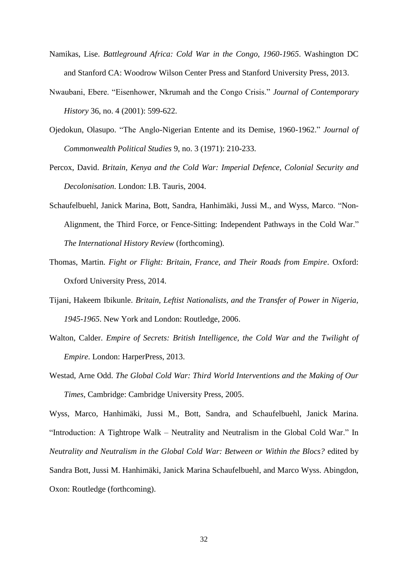- Namikas, Lise. *Battleground Africa: Cold War in the Congo, 1960-1965*. Washington DC and Stanford CA: Woodrow Wilson Center Press and Stanford University Press, 2013.
- Nwaubani, Ebere. "Eisenhower, Nkrumah and the Congo Crisis." *Journal of Contemporary History* 36, no. 4 (2001): 599-622.
- Ojedokun, Olasupo. "The Anglo-Nigerian Entente and its Demise, 1960-1962." *Journal of Commonwealth Political Studies* 9, no. 3 (1971): 210-233.
- Percox, David. *Britain, Kenya and the Cold War: Imperial Defence, Colonial Security and Decolonisation*. London: I.B. Tauris, 2004.
- Schaufelbuehl, Janick Marina, Bott, Sandra, Hanhimäki, Jussi M., and Wyss, Marco. "Non-Alignment, the Third Force, or Fence-Sitting: Independent Pathways in the Cold War." *The International History Review* (forthcoming).
- Thomas, Martin. *Fight or Flight: Britain, France, and Their Roads from Empire*. Oxford: Oxford University Press, 2014.
- Tijani, Hakeem Ibikunle. *Britain, Leftist Nationalists, and the Transfer of Power in Nigeria, 1945-1965*. New York and London: Routledge, 2006.
- Walton, Calder. *Empire of Secrets: British Intelligence, the Cold War and the Twilight of Empire*. London: HarperPress, 2013.
- Westad, Arne Odd. *The Global Cold War: Third World Interventions and the Making of Our Times*, Cambridge: Cambridge University Press, 2005.

Wyss, Marco, Hanhimäki, Jussi M., Bott, Sandra, and Schaufelbuehl, Janick Marina. "Introduction: A Tightrope Walk – Neutrality and Neutralism in the Global Cold War." In *Neutrality and Neutralism in the Global Cold War: Between or Within the Blocs?* edited by Sandra Bott, Jussi M. Hanhimäki, Janick Marina Schaufelbuehl, and Marco Wyss. Abingdon, Oxon: Routledge (forthcoming).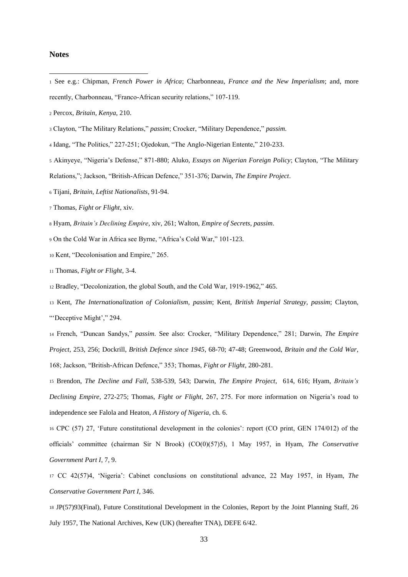### **Notes**

 See e.g.: Chipman, *French Power in Africa*; Charbonneau, *France and the New Imperialism*; and, more recently, Charbonneau, "Franco-African security relations," 107-119.

Percox, *Britain, Kenya*, 210.

- Clayton, "The Military Relations," *passim*; Crocker, "Military Dependence," *passim*.
- Idang, "The Politics," 227-251; Ojedokun, "The Anglo-Nigerian Entente," 210-233.
- Akinyeye, "Nigeria's Defense," 871-880; Aluko, *Essays on Nigerian Foreign Policy*; Clayton, "The Military
- Relations,"; Jackson, "British-African Defence," 351-376; Darwin, *The Empire Project*.
- Tijani, *Britain, Leftist Nationalists*, 91-94.
- Thomas, *Fight or Flight*, xiv.
- Hyam, *Britain's Declining Empire*, xiv, 261; Walton, *Empire of Secrets*, *passim*.
- On the Cold War in Africa see Byrne, "Africa's Cold War," 101-123.
- Kent, "Decolonisation and Empire," 265.
- Thomas, *Fight or Flight*, 3-4.
- Bradley, "Decolonization, the global South, and the Cold War, 1919-1962," 465.

 Kent, *The Internationalization of Colonialism*, *passim*; Kent, *British Imperial Strategy*, *passim*; Clayton, "'Deceptive Might'," 294.

 French, "Duncan Sandys," *passim*. See also: Crocker, "Military Dependence," 281; Darwin, *The Empire Project*, 253, 256; Dockrill, *British Defence since 1945*, 68-70; 47-48; Greenwood, *Britain and the Cold War*, 168; Jackson, "British-African Defence," 353; Thomas, *Fight or Flight*, 280-281.

 Brendon, *The Decline and Fall*, 538-539, 543; Darwin, *The Empire Project*, 614, 616; Hyam, *Britain's Declining Empire*, 272-275; Thomas, *Fight or Flight*, 267, 275. For more information on Nigeria's road to independence see Falola and Heaton, *A History of Nigeria*, ch. 6.

 CPC (57) 27, 'Future constitutional development in the colonies': report (CO print, GEN 174/012) of the officials' committee (chairman Sir N Brook) (CO(0)(57)5), 1 May 1957, in Hyam, *The Conservative Government Part I*, 7, 9.

 CC 42(57)4, 'Nigeria': Cabinet conclusions on constitutional advance, 22 May 1957, in Hyam, *The Conservative Government Part I*, 346.

 JP(57)93(Final), Future Constitutional Development in the Colonies, Report by the Joint Planning Staff, 26 July 1957, The National Archives, Kew (UK) (hereafter TNA), DEFE 6/42.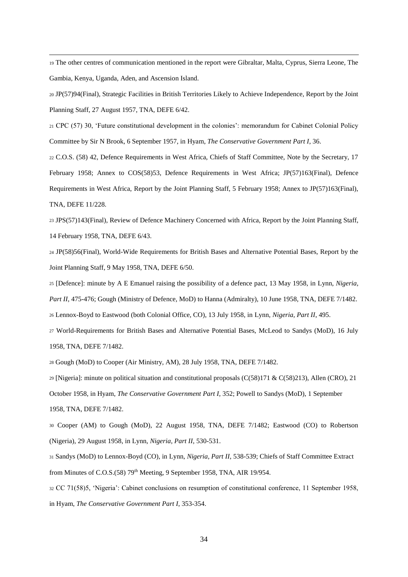<sup>19</sup> The other centres of communication mentioned in the report were Gibraltar, Malta, Cyprus, Sierra Leone, The Gambia, Kenya, Uganda, Aden, and Ascension Island.

**.** 

<sup>20</sup> JP(57)94(Final), Strategic Facilities in British Territories Likely to Achieve Independence, Report by the Joint Planning Staff, 27 August 1957, TNA, DEFE 6/42.

<sup>21</sup> CPC (57) 30, 'Future constitutional development in the colonies': memorandum for Cabinet Colonial Policy Committee by Sir N Brook, 6 September 1957, in Hyam, *The Conservative Government Part I*, 36.

<sup>22</sup> C.O.S. (58) 42, Defence Requirements in West Africa, Chiefs of Staff Committee, Note by the Secretary, 17 February 1958; Annex to COS(58)53, Defence Requirements in West Africa; JP(57)163(Final), Defence Requirements in West Africa, Report by the Joint Planning Staff, 5 February 1958; Annex to JP(57)163(Final), TNA, DEFE 11/228.

<sup>23</sup> JPS(57)143(Final), Review of Defence Machinery Concerned with Africa, Report by the Joint Planning Staff, 14 February 1958, TNA, DEFE 6/43.

<sup>24</sup> JP(58)56(Final), World-Wide Requirements for British Bases and Alternative Potential Bases, Report by the Joint Planning Staff, 9 May 1958, TNA, DEFE 6/50.

<sup>25</sup> [Defence]: minute by A E Emanuel raising the possibility of a defence pact, 13 May 1958, in Lynn, *Nigeria, Part II*, 475-476; Gough (Ministry of Defence, MoD) to Hanna (Admiralty), 10 June 1958, TNA, DEFE 7/1482. <sup>26</sup> Lennox-Boyd to Eastwood (both Colonial Office, CO), 13 July 1958, in Lynn, *Nigeria, Part II*, 495.

<sup>27</sup> World-Requirements for British Bases and Alternative Potential Bases, McLeod to Sandys (MoD), 16 July 1958, TNA, DEFE 7/1482.

<sup>28</sup> Gough (MoD) to Cooper (Air Ministry, AM), 28 July 1958, TNA, DEFE 7/1482.

<sup>29</sup> [Nigeria]: minute on political situation and constitutional proposals (C(58)171 & C(58)213), Allen (CRO), 21 October 1958, in Hyam, *The Conservative Government Part I*, 352; Powell to Sandys (MoD), 1 September 1958, TNA, DEFE 7/1482.

<sup>30</sup> Cooper (AM) to Gough (MoD), 22 August 1958, TNA, DEFE 7/1482; Eastwood (CO) to Robertson (Nigeria), 29 August 1958, in Lynn, *Nigeria, Part II*, 530-531.

<sup>31</sup> Sandys (MoD) to Lennox-Boyd (CO), in Lynn, *Nigeria, Part II*, 538-539; Chiefs of Staff Committee Extract from Minutes of C.O.S.(58)  $79<sup>th</sup>$  Meeting, 9 September 1958, TNA, AIR 19/954.

<sup>32</sup> CC 71(58)5, 'Nigeria': Cabinet conclusions on resumption of constitutional conference, 11 September 1958, in Hyam, *The Conservative Government Part I*, 353-354.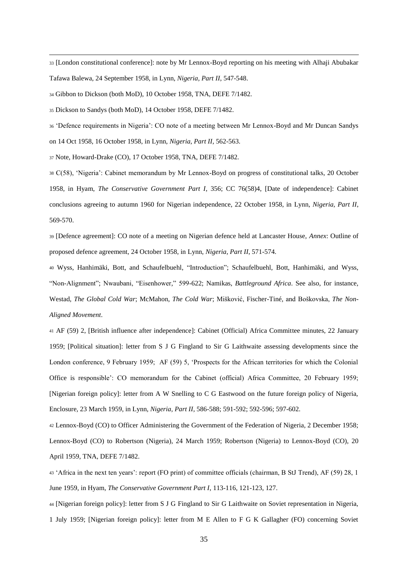<sup>33</sup> [London constitutional conference]: note by Mr Lennox-Boyd reporting on his meeting with Alhaji Abubakar Tafawa Balewa, 24 September 1958, in Lynn, *Nigeria, Part II*, 547-548.

<sup>34</sup> Gibbon to Dickson (both MoD), 10 October 1958, TNA, DEFE 7/1482.

<sup>35</sup> Dickson to Sandys (both MoD), 14 October 1958, DEFE 7/1482.

**.** 

<sup>36</sup> 'Defence requirements in Nigeria': CO note of a meeting between Mr Lennox-Boyd and Mr Duncan Sandys on 14 Oct 1958, 16 October 1958, in Lynn, *Nigeria, Part II*, 562-563.

<sup>37</sup> Note, Howard-Drake (CO), 17 October 1958, TNA, DEFE 7/1482.

<sup>38</sup> C(58), 'Nigeria': Cabinet memorandum by Mr Lennox-Boyd on progress of constitutional talks, 20 October 1958, in Hyam, *The Conservative Government Part I*, 356; CC 76(58)4, [Date of independence]: Cabinet conclusions agreeing to autumn 1960 for Nigerian independence, 22 October 1958, in Lynn, *Nigeria, Part II*, 569-570.

<sup>39</sup> [Defence agreement]: CO note of a meeting on Nigerian defence held at Lancaster House, *Annex*: Outline of proposed defence agreement, 24 October 1958, in Lynn, *Nigeria, Part II*, 571-574.

<sup>40</sup> Wyss, Hanhimäki, Bott, and Schaufelbuehl, "Introduction"; Schaufelbuehl, Bott, Hanhimäki, and Wyss, "Non-Alignment"; Nwaubani, "Eisenhower," 599-622; Namikas, *Battleground Africa*. See also, for instance, Westad, *The Global Cold War*; McMahon, *The Cold War*; Mišković, Fischer-Tiné, and Boškovska, *The Non-Aligned Movement*.

<sup>41</sup> AF (59) 2, [British influence after independence]: Cabinet (Official) Africa Committee minutes, 22 January 1959; [Political situation]: letter from S J G Fingland to Sir G Laithwaite assessing developments since the London conference, 9 February 1959; AF (59) 5, 'Prospects for the African territories for which the Colonial Office is responsible': CO memorandum for the Cabinet (official) Africa Committee, 20 February 1959; [Nigerian foreign policy]: letter from A W Snelling to C G Eastwood on the future foreign policy of Nigeria, Enclosure, 23 March 1959, in Lynn, *Nigeria, Part II*, 586-588; 591-592; 592-596; 597-602.

<sup>42</sup> Lennox-Boyd (CO) to Officer Administering the Government of the Federation of Nigeria, 2 December 1958; Lennox-Boyd (CO) to Robertson (Nigeria), 24 March 1959; Robertson (Nigeria) to Lennox-Boyd (CO), 20 April 1959, TNA, DEFE 7/1482.

<sup>43</sup> 'Africa in the next ten years': report (FO print) of committee officials (chairman, B StJ Trend), AF (59) 28, 1 June 1959, in Hyam, *The Conservative Government Part I*, 113-116, 121-123, 127.

<sup>44</sup> [Nigerian foreign policy]: letter from S J G Fingland to Sir G Laithwaite on Soviet representation in Nigeria, 1 July 1959; [Nigerian foreign policy]: letter from M E Allen to F G K Gallagher (FO) concerning Soviet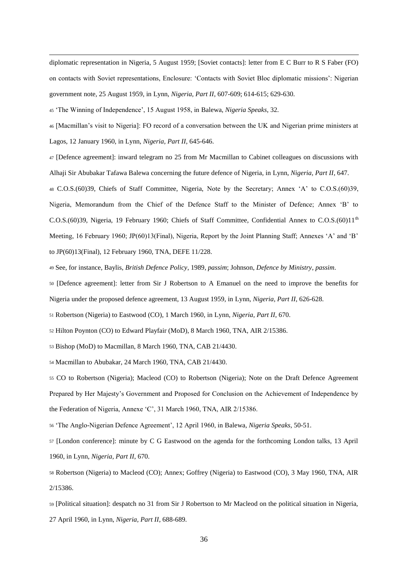diplomatic representation in Nigeria, 5 August 1959; [Soviet contacts]: letter from E C Burr to R S Faber (FO) on contacts with Soviet representations, Enclosure: 'Contacts with Soviet Bloc diplomatic missions': Nigerian government note, 25 August 1959, in Lynn, *Nigeria, Part II*, 607-609; 614-615; 629-630.

<sup>45</sup> 'The Winning of Independence', 15 August 1958, in Balewa, *Nigeria Speaks*, 32.

**.** 

<sup>46</sup> [Macmillan's visit to Nigeria]: FO record of a conversation between the UK and Nigerian prime ministers at Lagos, 12 January 1960, in Lynn, *Nigeria, Part II*, 645-646.

<sup>47</sup> [Defence agreement]: inward telegram no 25 from Mr Macmillan to Cabinet colleagues on discussions with Alhaji Sir Abubakar Tafawa Balewa concerning the future defence of Nigeria, in Lynn, *Nigeria, Part II*, 647.

<sup>48</sup> C.O.S.(60)39, Chiefs of Staff Committee, Nigeria, Note by the Secretary; Annex 'A' to C.O.S.(60)39, Nigeria, Memorandum from the Chief of the Defence Staff to the Minister of Defence; Annex 'B' to C.O.S.(60)39, Nigeria, 19 February 1960; Chiefs of Staff Committee, Confidential Annex to  $C.O.S.(60)11<sup>th</sup>$ Meeting, 16 February 1960; JP(60)13(Final), Nigeria, Report by the Joint Planning Staff; Annexes 'A' and 'B' to JP(60)13(Final), 12 February 1960, TNA, DEFE 11/228.

<sup>49</sup> See, for instance, Baylis, *British Defence Policy*, 1989, *passim*; Johnson, *Defence by Ministry*, *passim*.

<sup>50</sup> [Defence agreement]: letter from Sir J Robertson to A Emanuel on the need to improve the benefits for Nigeria under the proposed defence agreement, 13 August 1959, in Lynn, *Nigeria, Part II*, 626-628.

<sup>51</sup> Robertson (Nigeria) to Eastwood (CO), 1 March 1960, in Lynn, *Nigeria, Part II*, 670.

<sup>52</sup> Hilton Poynton (CO) to Edward Playfair (MoD), 8 March 1960, TNA, AIR 2/15386.

<sup>53</sup> Bishop (MoD) to Macmillan, 8 March 1960, TNA, CAB 21/4430.

<sup>54</sup> Macmillan to Abubakar, 24 March 1960, TNA, CAB 21/4430.

<sup>55</sup> CO to Robertson (Nigeria); Macleod (CO) to Robertson (Nigeria); Note on the Draft Defence Agreement Prepared by Her Majesty's Government and Proposed for Conclusion on the Achievement of Independence by the Federation of Nigeria, Annexe 'C', 31 March 1960, TNA, AIR 2/15386.

<sup>56</sup> 'The Anglo-Nigerian Defence Agreement', 12 April 1960, in Balewa, *Nigeria Speaks*, 50-51.

<sup>57</sup> [London conference]: minute by C G Eastwood on the agenda for the forthcoming London talks, 13 April 1960, in Lynn, *Nigeria, Part II*, 670.

<sup>58</sup> Robertson (Nigeria) to Macleod (CO); Annex; Goffrey (Nigeria) to Eastwood (CO), 3 May 1960, TNA, AIR 2/15386.

<sup>59</sup> [Political situation]: despatch no 31 from Sir J Robertson to Mr Macleod on the political situation in Nigeria, 27 April 1960, in Lynn, *Nigeria, Part II*, 688-689.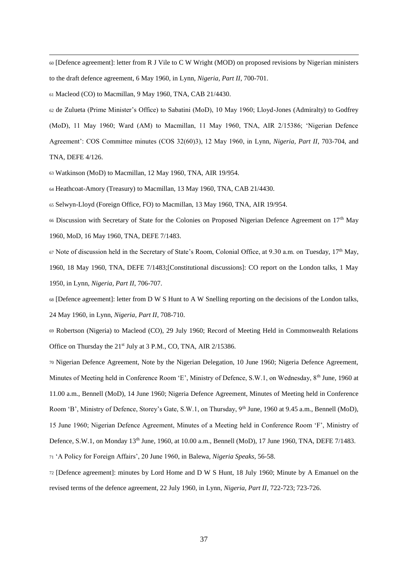<sup>60</sup> [Defence agreement]: letter from R J Vile to C W Wright (MOD) on proposed revisions by Nigerian ministers to the draft defence agreement, 6 May 1960, in Lynn, *Nigeria, Part II*, 700-701.

<sup>61</sup> Macleod (CO) to Macmillan, 9 May 1960, TNA, CAB 21/4430.

**.** 

<sup>62</sup> de Zulueta (Prime Minister's Office) to Sabatini (MoD), 10 May 1960; Lloyd-Jones (Admiralty) to Godfrey (MoD), 11 May 1960; Ward (AM) to Macmillan, 11 May 1960, TNA, AIR 2/15386; 'Nigerian Defence Agreement': COS Committee minutes (COS 32(60)3), 12 May 1960, in Lynn, *Nigeria, Part II*, 703-704, and TNA, DEFE 4/126.

<sup>63</sup> Watkinson (MoD) to Macmillan, 12 May 1960, TNA, AIR 19/954.

<sup>64</sup> Heathcoat-Amory (Treasury) to Macmillan, 13 May 1960, TNA, CAB 21/4430.

<sup>65</sup> Selwyn-Lloyd (Foreign Office, FO) to Macmillan, 13 May 1960, TNA, AIR 19/954.

<sup>66</sup> Discussion with Secretary of State for the Colonies on Proposed Nigerian Defence Agreement on 17th May 1960, MoD, 16 May 1960, TNA, DEFE 7/1483.

<sup>67</sup> Note of discussion held in the Secretary of State's Room, Colonial Office, at 9.30 a.m. on Tuesday, 17th May, 1960, 18 May 1960, TNA, DEFE 7/1483;[Constitutional discussions]: CO report on the London talks, 1 May 1950, in Lynn, *Nigeria, Part II*, 706-707.

<sup>68</sup> [Defence agreement]: letter from D W S Hunt to A W Snelling reporting on the decisions of the London talks, 24 May 1960, in Lynn, *Nigeria, Part II*, 708-710.

<sup>69</sup> Robertson (Nigeria) to Macleod (CO), 29 July 1960; Record of Meeting Held in Commonwealth Relations Office on Thursday the 21<sup>st</sup> July at 3 P.M., CO, TNA, AIR 2/15386.

<sup>70</sup> Nigerian Defence Agreement, Note by the Nigerian Delegation, 10 June 1960; Nigeria Defence Agreement, Minutes of Meeting held in Conference Room 'E', Ministry of Defence, S.W.1, on Wednesday, 8<sup>th</sup> June, 1960 at 11.00 a.m., Bennell (MoD), 14 June 1960; Nigeria Defence Agreement, Minutes of Meeting held in Conference Room 'B', Ministry of Defence, Storey's Gate, S.W.1, on Thursday, 9<sup>th</sup> June, 1960 at 9.45 a.m., Bennell (MoD), 15 June 1960; Nigerian Defence Agreement, Minutes of a Meeting held in Conference Room 'F', Ministry of Defence, S.W.1, on Monday 13<sup>th</sup> June, 1960, at 10.00 a.m., Bennell (MoD), 17 June 1960, TNA, DEFE 7/1483. <sup>71</sup> 'A Policy for Foreign Affairs', 20 June 1960, in Balewa, *Nigeria Speaks*, 56-58.

<sup>72</sup> [Defence agreement]: minutes by Lord Home and D W S Hunt, 18 July 1960; Minute by A Emanuel on the revised terms of the defence agreement, 22 July 1960, in Lynn, *Nigeria, Part II*, 722-723; 723-726.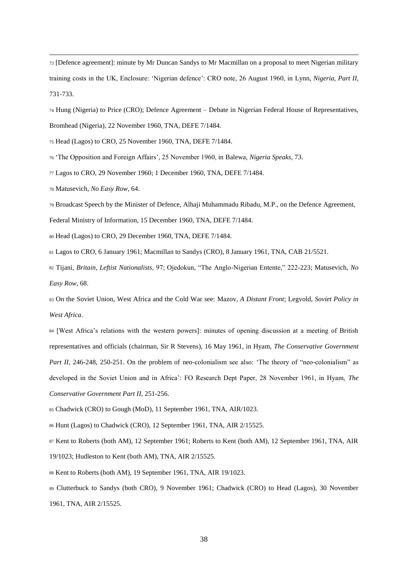<sup>73</sup> [Defence agreement]: minute by Mr Duncan Sandys to Mr Macmillan on a proposal to meet Nigerian military training costs in the UK, Enclosure: 'Nigerian defence': CRO note, 26 August 1960, in Lynn, *Nigeria, Part II*, 731-733.

<sup>74</sup> Hung (Nigeria) to Price (CRO); Defence Agreement – Debate in Nigerian Federal House of Representatives,

Bromhead (Nigeria), 22 November 1960, TNA, DEFE 7/1484.

<sup>75</sup> Head (Lagos) to CRO, 25 November 1960, TNA, DEFE 7/1484.

<sup>76</sup> 'The Opposition and Foreign Affairs', 25 November 1960, in Balewa, *Nigeria Speaks*, 73.

<sup>77</sup> Lagos to CRO, 29 November 1960; 1 December 1960, TNA, DEFE 7/1484.

<sup>78</sup> Matusevich, *No Easy Row*, 64.

**.** 

<sup>79</sup> Broadcast Speech by the Minister of Defence, Alhaji Muhammadu Ribadu, M.P., on the Defence Agreement,

Federal Ministry of Information, 15 December 1960, TNA, DEFE 7/1484.

<sup>80</sup> Head (Lagos) to CRO, 29 December 1960, TNA, DEFE 7/1484.

<sup>81</sup> Lagos to CRO, 6 January 1961; Macmillan to Sandys (CRO), 8 January 1961, TNA, CAB 21/5521.

<sup>82</sup> Tijani, *Britain, Leftist Nationalists*, 97; Ojedokun, "The Anglo-Nigerian Entente," 222-223; Matusevich, *No Easy Row*, 68.

<sup>83</sup> On the Soviet Union, West Africa and the Cold War see: Mazov, *A Distant Front*; Legvold, *Soviet Policy in West Africa*.

<sup>84</sup> [West Africa's relations with the western powers]: minutes of opening discussion at a meeting of British representatives and officials (chairman, Sir R Stevens), 16 May 1961, in Hyam, *The Conservative Government Part II*, 246-248, 250-251. On the problem of neo-colonialism see also: 'The theory of "neo-colonialism" as developed in the Soviet Union and in Africa': FO Research Dept Paper, 28 November 1961, in Hyam, *The Conservative Government Part II*, 251-256.

<sup>85</sup> Chadwick (CRO) to Gough (MoD), 11 September 1961, TNA, AIR/1023.

<sup>86</sup> Hunt (Lagos) to Chadwick (CRO), 12 September 1961, TNA, AIR 2/15525.

<sup>87</sup> Kent to Roberts (both AM), 12 September 1961; Roberts to Kent (both AM), 12 September 1961, TNA, AIR 19/1023; Hudleston to Kent (both AM), TNA, AIR 2/15525.

<sup>88</sup> Kent to Roberts (both AM), 19 September 1961, TNA, AIR 19/1023.

<sup>89</sup> Clutterbuck to Sandys (both CRO), 9 November 1961; Chadwick (CRO) to Head (Lagos), 30 November 1961, TNA, AIR 2/15525.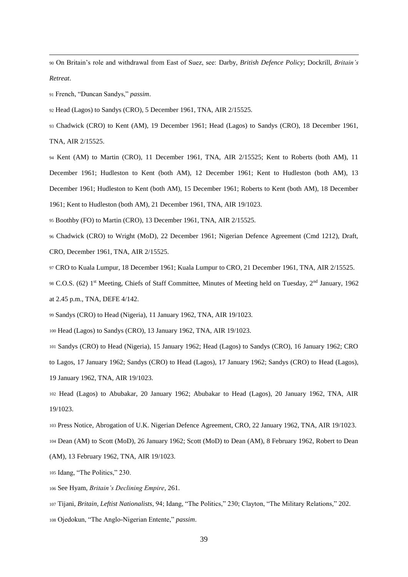<sup>90</sup> On Britain's role and withdrawal from East of Suez, see: Darby, *British Defence Policy*; Dockrill, *Britain's Retreat*.

<sup>91</sup> French, "Duncan Sandys," *passim*.

**.** 

<sup>92</sup> Head (Lagos) to Sandys (CRO), 5 December 1961, TNA, AIR 2/15525.

<sup>93</sup> Chadwick (CRO) to Kent (AM), 19 December 1961; Head (Lagos) to Sandys (CRO), 18 December 1961, TNA, AIR 2/15525.

<sup>94</sup> Kent (AM) to Martin (CRO), 11 December 1961, TNA, AIR 2/15525; Kent to Roberts (both AM), 11 December 1961; Hudleston to Kent (both AM), 12 December 1961; Kent to Hudleston (both AM), 13 December 1961; Hudleston to Kent (both AM), 15 December 1961; Roberts to Kent (both AM), 18 December 1961; Kent to Hudleston (both AM), 21 December 1961, TNA, AIR 19/1023.

<sup>95</sup> Boothby (FO) to Martin (CRO), 13 December 1961, TNA, AIR 2/15525.

<sup>96</sup> Chadwick (CRO) to Wright (MoD), 22 December 1961; Nigerian Defence Agreement (Cmd 1212), Draft, CRO, December 1961, TNA, AIR 2/15525.

<sup>97</sup> CRO to Kuala Lumpur, 18 December 1961; Kuala Lumpur to CRO, 21 December 1961, TNA, AIR 2/15525.

98 C.O.S. (62) 1<sup>st</sup> Meeting, Chiefs of Staff Committee, Minutes of Meeting held on Tuesday, 2<sup>nd</sup> January, 1962 at 2.45 p.m., TNA, DEFE 4/142.

<sup>99</sup> Sandys (CRO) to Head (Nigeria), 11 January 1962, TNA, AIR 19/1023.

<sup>100</sup> Head (Lagos) to Sandys (CRO), 13 January 1962, TNA, AIR 19/1023.

<sup>101</sup> Sandys (CRO) to Head (Nigeria), 15 January 1962; Head (Lagos) to Sandys (CRO), 16 January 1962; CRO to Lagos, 17 January 1962; Sandys (CRO) to Head (Lagos), 17 January 1962; Sandys (CRO) to Head (Lagos), 19 January 1962, TNA, AIR 19/1023.

<sup>102</sup> Head (Lagos) to Abubakar, 20 January 1962; Abubakar to Head (Lagos), 20 January 1962, TNA, AIR 19/1023.

<sup>103</sup> Press Notice, Abrogation of U.K. Nigerian Defence Agreement, CRO, 22 January 1962, TNA, AIR 19/1023. <sup>104</sup> Dean (AM) to Scott (MoD), 26 January 1962; Scott (MoD) to Dean (AM), 8 February 1962, Robert to Dean (AM), 13 February 1962, TNA, AIR 19/1023.

<sup>105</sup> Idang, "The Politics," 230.

<sup>106</sup> See Hyam, *Britain's Declining Empire*, 261.

<sup>107</sup> Tijani, *Britain, Leftist Nationalists*, 94; Idang, "The Politics," 230; Clayton, "The Military Relations," 202.

<sup>108</sup> Ojedokun, "The Anglo-Nigerian Entente," *passim*.